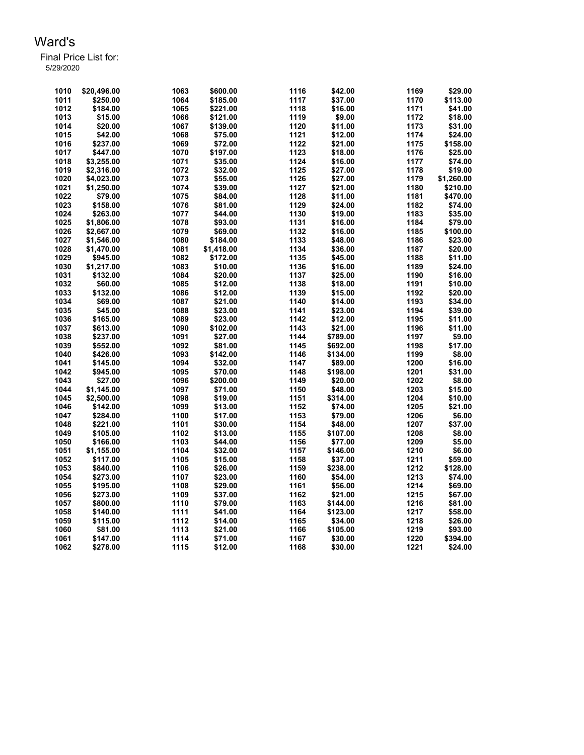| 1010 | \$20,496.00 | 1063 | \$600.00   | 1116 | \$42.00  | 1169 | \$29.00    |
|------|-------------|------|------------|------|----------|------|------------|
| 1011 | \$250.00    | 1064 | \$185.00   | 1117 | \$37.00  | 1170 | \$113.00   |
| 1012 | \$184.00    | 1065 | \$221.00   | 1118 | \$16.00  | 1171 | \$41.00    |
| 1013 | \$15.00     | 1066 | \$121.00   | 1119 | \$9.00   | 1172 | \$18.00    |
| 1014 | \$20.00     | 1067 | \$139.00   | 1120 | \$11.00  | 1173 | \$31.00    |
| 1015 | \$42.00     | 1068 | \$75.00    | 1121 | \$12.00  | 1174 | \$24.00    |
| 1016 | \$237.00    | 1069 | \$72.00    | 1122 | \$21.00  | 1175 | \$158.00   |
| 1017 | \$447.00    | 1070 | \$197.00   | 1123 | \$18.00  | 1176 | \$25.00    |
| 1018 | \$3,255.00  | 1071 | \$35.00    | 1124 | \$16.00  | 1177 | \$74.00    |
| 1019 | \$2,316.00  | 1072 | \$32.00    | 1125 | \$27.00  | 1178 | \$19.00    |
| 1020 | \$4,023.00  | 1073 | \$55.00    | 1126 | \$27.00  | 1179 | \$1,260.00 |
| 1021 | \$1,250.00  | 1074 | \$39.00    | 1127 | \$21.00  | 1180 | \$210.00   |
| 1022 | \$79.00     | 1075 | \$84.00    | 1128 | \$11.00  | 1181 | \$470.00   |
| 1023 | \$158.00    | 1076 | \$81.00    | 1129 | \$24.00  | 1182 | \$74.00    |
| 1024 | \$263.00    | 1077 | \$44.00    | 1130 | \$19.00  | 1183 | \$35.00    |
| 1025 | \$1.806.00  | 1078 | \$93.00    | 1131 | \$16.00  | 1184 | \$79.00    |
| 1026 | \$2,667.00  | 1079 | \$69.00    | 1132 | \$16.00  | 1185 | \$100.00   |
| 1027 | \$1.546.00  | 1080 | \$184.00   | 1133 | \$48.00  | 1186 | \$23.00    |
| 1028 | \$1,470.00  | 1081 | \$1,418.00 | 1134 | \$36.00  | 1187 | \$20.00    |
| 1029 | \$945.00    | 1082 | \$172.00   | 1135 | \$45.00  | 1188 | \$11.00    |
| 1030 | \$1,217.00  | 1083 | \$10.00    | 1136 | \$16.00  | 1189 | \$24.00    |
| 1031 | \$132.00    | 1084 | \$20.00    | 1137 | \$25.00  | 1190 | \$16.00    |
| 1032 | \$60.00     | 1085 | \$12.00    | 1138 | \$18.00  | 1191 | \$10.00    |
|      |             |      |            | 1139 |          | 1192 | \$20.00    |
| 1033 | \$132.00    | 1086 | \$12.00    |      | \$15.00  |      |            |
| 1034 | \$69.00     | 1087 | \$21.00    | 1140 | \$14.00  | 1193 | \$34.00    |
| 1035 | \$45.00     | 1088 | \$23.00    | 1141 | \$23.00  | 1194 | \$39.00    |
| 1036 | \$165.00    | 1089 | \$23.00    | 1142 | \$12.00  | 1195 | \$11.00    |
| 1037 | \$613.00    | 1090 | \$102.00   | 1143 | \$21.00  | 1196 | \$11.00    |
| 1038 | \$237.00    | 1091 | \$27.00    | 1144 | \$789.00 | 1197 | \$9.00     |
| 1039 | \$552.00    | 1092 | \$81.00    | 1145 | \$692.00 | 1198 | \$17.00    |
| 1040 | \$426.00    | 1093 | \$142.00   | 1146 | \$134.00 | 1199 | \$8.00     |
| 1041 | \$145.00    | 1094 | \$32.00    | 1147 | \$89.00  | 1200 | \$16.00    |
| 1042 | \$945.00    | 1095 | \$70.00    | 1148 | \$198.00 | 1201 | \$31.00    |
| 1043 | \$27.00     | 1096 | \$200.00   | 1149 | \$20.00  | 1202 | \$8.00     |
| 1044 | \$1.145.00  | 1097 | \$71.00    | 1150 | \$48.00  | 1203 | \$15.00    |
| 1045 | \$2,500.00  | 1098 | \$19.00    | 1151 | \$314.00 | 1204 | \$10.00    |
| 1046 | \$142.00    | 1099 | \$13.00    | 1152 | \$74.00  | 1205 | \$21.00    |
| 1047 | \$284.00    | 1100 | \$17.00    | 1153 | \$79.00  | 1206 | \$6.00     |
| 1048 | \$221.00    | 1101 | \$30.00    | 1154 | \$48.00  | 1207 | \$37.00    |
| 1049 | \$105.00    | 1102 | \$13.00    | 1155 | \$107.00 | 1208 | \$8.00     |
| 1050 | \$166.00    | 1103 | \$44.00    | 1156 | \$77.00  | 1209 | \$5.00     |
| 1051 | \$1,155.00  | 1104 | \$32.00    | 1157 | \$146.00 | 1210 | \$6.00     |
| 1052 | \$117.00    | 1105 | \$15.00    | 1158 | \$37.00  | 1211 | \$59.00    |
| 1053 | \$840.00    | 1106 | \$26.00    | 1159 | \$238.00 | 1212 | \$128.00   |
| 1054 | \$273.00    | 1107 | \$23.00    | 1160 | \$54.00  | 1213 | \$74.00    |
| 1055 | \$195.00    | 1108 | \$29.00    | 1161 | \$56.00  | 1214 | \$69.00    |
| 1056 | \$273.00    | 1109 | \$37.00    | 1162 | \$21.00  | 1215 | \$67.00    |
| 1057 | \$800.00    | 1110 | \$79.00    | 1163 | \$144.00 | 1216 | \$81.00    |
| 1058 | \$140.00    | 1111 | \$41.00    | 1164 | \$123.00 | 1217 | \$58.00    |
| 1059 | \$115.00    | 1112 | \$14.00    | 1165 | \$34.00  | 1218 | \$26.00    |
| 1060 | \$81.00     | 1113 | \$21.00    | 1166 | \$105.00 | 1219 | \$93.00    |
| 1061 | \$147.00    | 1114 | \$71.00    | 1167 | \$30.00  | 1220 | \$394.00   |
| 1062 | \$278.00    | 1115 | \$12.00    | 1168 | \$30.00  | 1221 | \$24.00    |
|      |             |      |            |      |          |      |            |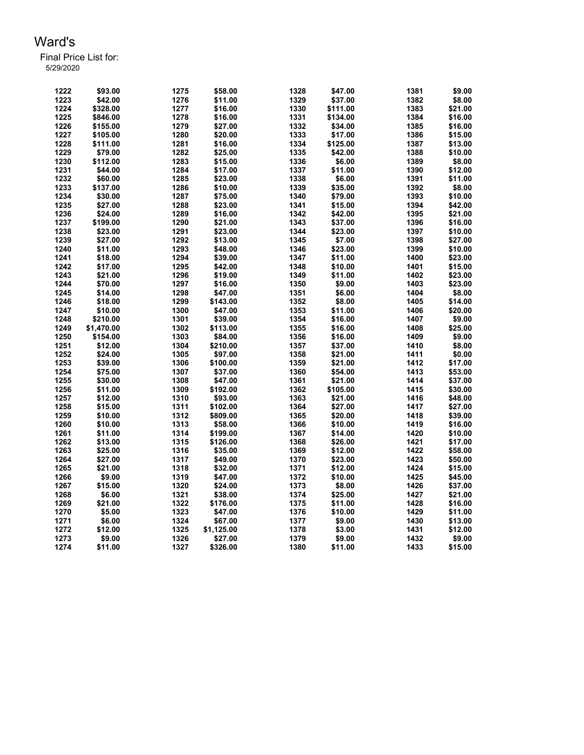| 1222 | \$93.00    | 1275 | \$58.00    | 1328 | \$47.00  | 1381         | \$9.00  |
|------|------------|------|------------|------|----------|--------------|---------|
| 1223 | \$42.00    | 1276 | \$11.00    | 1329 | \$37.00  | 1382         | \$8.00  |
| 1224 | \$328.00   | 1277 | \$16.00    | 1330 | \$111.00 | 1383         | \$21.00 |
| 1225 | \$846.00   | 1278 | \$16.00    | 1331 | \$134.00 | 1384         | \$16.00 |
| 1226 | \$155.00   | 1279 | \$27.00    | 1332 | \$34.00  | 1385         | \$16.00 |
| 1227 | \$105.00   | 1280 | \$20.00    | 1333 | \$17.00  | 1386         | \$15.00 |
| 1228 | \$111.00   | 1281 | \$16.00    | 1334 | \$125.00 | 1387         | \$13.00 |
| 1229 | \$79.00    | 1282 | \$25.00    | 1335 | \$42.00  | 1388         | \$10.00 |
| 1230 | \$112.00   | 1283 | \$15.00    | 1336 | \$6.00   | 1389         | \$8.00  |
| 1231 | \$44.00    | 1284 | \$17.00    | 1337 | \$11.00  | 1390         | \$12.00 |
| 1232 | \$60.00    | 1285 | \$23.00    | 1338 | \$6.00   | 1391         | \$11.00 |
| 1233 | \$137.00   | 1286 | \$10.00    | 1339 | \$35.00  | 1392         | \$8.00  |
| 1234 |            | 1287 |            | 1340 | \$79.00  | 1393         | \$10.00 |
|      | \$30.00    |      | \$75.00    |      |          |              |         |
| 1235 | \$27.00    | 1288 | \$23.00    | 1341 | \$15.00  | 1394         | \$42.00 |
| 1236 | \$24.00    | 1289 | \$16.00    | 1342 | \$42.00  | 1395         | \$21.00 |
| 1237 | \$199.00   | 1290 | \$21.00    | 1343 | \$37.00  | 1396         | \$16.00 |
| 1238 | \$23.00    | 1291 | \$23.00    | 1344 | \$23.00  | 1397         | \$10.00 |
| 1239 | \$27.00    | 1292 | \$13.00    | 1345 | \$7.00   | 1398         | \$27.00 |
| 1240 | \$11.00    | 1293 | \$48.00    | 1346 | \$23.00  | 1399         | \$10.00 |
| 1241 | \$18.00    | 1294 | \$39.00    | 1347 | \$11.00  | 1400         | \$23.00 |
| 1242 | \$17.00    | 1295 | \$42.00    | 1348 | \$10.00  | 1401         | \$15.00 |
| 1243 | \$21.00    | 1296 | \$19.00    | 1349 | \$11.00  | 1402         | \$23.00 |
| 1244 | \$70.00    | 1297 | \$16.00    | 1350 | \$9.00   | 1403         | \$23.00 |
| 1245 | \$14.00    | 1298 | \$47.00    | 1351 | \$6.00   | 1404         | \$8.00  |
| 1246 | \$18.00    | 1299 | \$143.00   | 1352 | \$8.00   | 1405         | \$14.00 |
| 1247 | \$10.00    | 1300 | \$47.00    | 1353 | \$11.00  | 1406         | \$20.00 |
| 1248 | \$210.00   | 1301 | \$39.00    | 1354 | \$16.00  | 1407         | \$9.00  |
| 1249 | \$1,470.00 | 1302 | \$113.00   | 1355 | \$16.00  | 1408         | \$25.00 |
| 1250 | \$154.00   | 1303 | \$84.00    | 1356 | \$16.00  | 1409         | \$9.00  |
| 1251 | \$12.00    | 1304 | \$210.00   | 1357 | \$37.00  | 1410         | \$8.00  |
| 1252 | \$24.00    | 1305 | \$97.00    | 1358 | \$21.00  | 1411         | \$0.00  |
| 1253 | \$39.00    | 1306 | \$100.00   | 1359 | \$21.00  | 1412         | \$17.00 |
| 1254 | \$75.00    | 1307 | \$37.00    | 1360 | \$54.00  | 1413         | \$53.00 |
| 1255 | \$30.00    | 1308 | \$47.00    | 1361 | \$21.00  | 1414         | \$37.00 |
| 1256 | \$11.00    | 1309 | \$192.00   | 1362 | \$105.00 | 1415         | \$30.00 |
| 1257 | \$12.00    | 1310 | \$93.00    | 1363 | \$21.00  | 1416         | \$48.00 |
| 1258 | \$15.00    | 1311 | \$102.00   | 1364 | \$27.00  | 1417         | \$27.00 |
|      |            |      |            |      | \$20.00  |              |         |
| 1259 | \$10.00    | 1312 | \$809.00   | 1365 |          | 1418<br>1419 | \$39.00 |
| 1260 | \$10.00    | 1313 | \$58.00    | 1366 | \$10.00  |              | \$16.00 |
| 1261 | \$11.00    | 1314 | \$199.00   | 1367 | \$14.00  | 1420         | \$10.00 |
| 1262 | \$13.00    | 1315 | \$126.00   | 1368 | \$26.00  | 1421         | \$17.00 |
| 1263 | \$25.00    | 1316 | \$35.00    | 1369 | \$12.00  | 1422         | \$58.00 |
| 1264 | \$27.00    | 1317 | \$49.00    | 1370 | \$23.00  | 1423         | \$50.00 |
| 1265 | \$21.00    | 1318 | \$32.00    | 1371 | \$12.00  | 1424         | \$15.00 |
| 1266 | \$9.00     | 1319 | \$47.00    | 1372 | \$10.00  | 1425         | \$45.00 |
| 1267 | \$15.00    | 1320 | \$24.00    | 1373 | \$8.00   | 1426         | \$37.00 |
| 1268 | \$6.00     | 1321 | \$38.00    | 1374 | \$25.00  | 1427         | \$21.00 |
| 1269 | \$21.00    | 1322 | \$176.00   | 1375 | \$11.00  | 1428         | \$16.00 |
| 1270 | \$5.00     | 1323 | \$47.00    | 1376 | \$10.00  | 1429         | \$11.00 |
| 1271 | \$6.00     | 1324 | \$67.00    | 1377 | \$9.00   | 1430         | \$13.00 |
| 1272 | \$12.00    | 1325 | \$1,125.00 | 1378 | \$3.00   | 1431         | \$12.00 |
| 1273 | \$9.00     | 1326 | \$27.00    | 1379 | \$9.00   | 1432         | \$9.00  |
| 1274 | \$11.00    | 1327 | \$326.00   | 1380 | \$11.00  | 1433         | \$15.00 |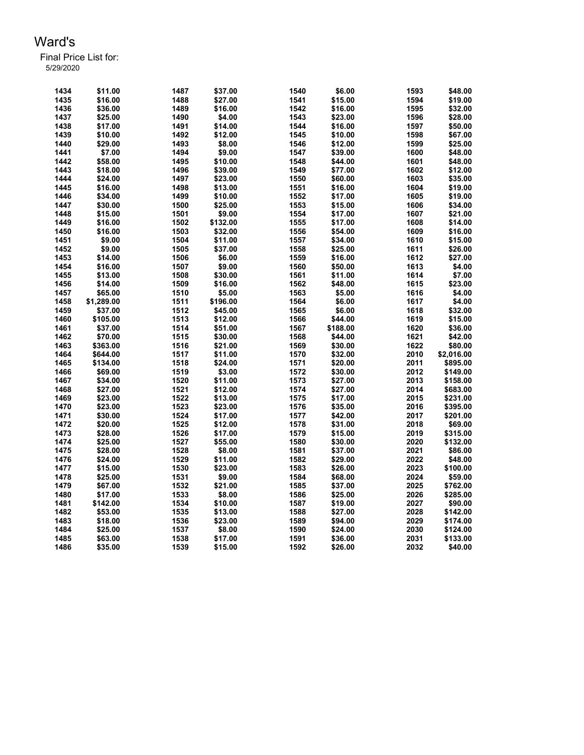| 1434 | \$11.00    | 1487 | \$37.00  | 1540 | \$6.00   | 1593 | \$48.00    |
|------|------------|------|----------|------|----------|------|------------|
| 1435 | \$16.00    | 1488 | \$27.00  | 1541 | \$15.00  | 1594 | \$19.00    |
| 1436 | \$36.00    | 1489 | \$16.00  | 1542 | \$16.00  | 1595 | \$32.00    |
| 1437 | \$25.00    | 1490 | \$4.00   | 1543 | \$23.00  | 1596 | \$28.00    |
| 1438 | \$17.00    | 1491 | \$14.00  | 1544 | \$16.00  | 1597 | \$50.00    |
| 1439 | \$10.00    | 1492 | \$12.00  | 1545 | \$10.00  | 1598 | \$67.00    |
| 1440 | \$29.00    | 1493 | \$8.00   | 1546 | \$12.00  | 1599 | \$25.00    |
| 1441 | \$7.00     | 1494 | \$9.00   | 1547 | \$39.00  | 1600 | \$48.00    |
| 1442 | \$58.00    | 1495 | \$10.00  | 1548 | \$44.00  | 1601 | \$48.00    |
| 1443 | \$18.00    | 1496 | \$39.00  | 1549 | \$77.00  | 1602 | \$12.00    |
| 1444 | \$24.00    | 1497 | \$23.00  | 1550 | \$60.00  | 1603 | \$35.00    |
| 1445 | \$16.00    | 1498 | \$13.00  | 1551 | \$16.00  | 1604 | \$19.00    |
| 1446 | \$34.00    | 1499 | \$10.00  | 1552 | \$17.00  | 1605 | \$19.00    |
| 1447 | \$30.00    | 1500 | \$25.00  | 1553 | \$15.00  | 1606 | \$34.00    |
| 1448 | \$15.00    | 1501 | \$9.00   | 1554 | \$17.00  | 1607 | \$21.00    |
| 1449 | \$16.00    | 1502 | \$132.00 | 1555 | \$17.00  | 1608 | \$14.00    |
| 1450 | \$16.00    | 1503 | \$32.00  | 1556 | \$54.00  | 1609 | \$16.00    |
| 1451 | \$9.00     | 1504 | \$11.00  | 1557 | \$34.00  | 1610 | \$15.00    |
| 1452 | \$9.00     | 1505 | \$37.00  | 1558 | \$25.00  | 1611 | \$26.00    |
| 1453 | \$14.00    | 1506 | \$6.00   | 1559 | \$16.00  | 1612 | \$27.00    |
| 1454 | \$16.00    | 1507 | \$9.00   | 1560 | \$50.00  | 1613 | \$4.00     |
| 1455 | \$13.00    | 1508 | \$30.00  | 1561 | \$11.00  | 1614 | \$7.00     |
|      |            |      |          |      |          | 1615 |            |
| 1456 | \$14.00    | 1509 | \$16.00  | 1562 | \$48.00  |      | \$23.00    |
| 1457 | \$65.00    | 1510 | \$5.00   | 1563 | \$5.00   | 1616 | \$4.00     |
| 1458 | \$1,289.00 | 1511 | \$196.00 | 1564 | \$6.00   | 1617 | \$4.00     |
| 1459 | \$37.00    | 1512 | \$45.00  | 1565 | \$6.00   | 1618 | \$32.00    |
| 1460 | \$105.00   | 1513 | \$12.00  | 1566 | \$44.00  | 1619 | \$15.00    |
| 1461 | \$37.00    | 1514 | \$51.00  | 1567 | \$188.00 | 1620 | \$36.00    |
| 1462 | \$70.00    | 1515 | \$30.00  | 1568 | \$44.00  | 1621 | \$42.00    |
| 1463 | \$363.00   | 1516 | \$21.00  | 1569 | \$30.00  | 1622 | \$80.00    |
| 1464 | \$644.00   | 1517 | \$11.00  | 1570 | \$32.00  | 2010 | \$2,016.00 |
| 1465 | \$134.00   | 1518 | \$24.00  | 1571 | \$20.00  | 2011 | \$895.00   |
| 1466 | \$69.00    | 1519 | \$3.00   | 1572 | \$30.00  | 2012 | \$149.00   |
| 1467 | \$34.00    | 1520 | \$11.00  | 1573 | \$27.00  | 2013 | \$158.00   |
| 1468 | \$27.00    | 1521 | \$12.00  | 1574 | \$27.00  | 2014 | \$683.00   |
| 1469 | \$23.00    | 1522 | \$13.00  | 1575 | \$17.00  | 2015 | \$231.00   |
| 1470 | \$23.00    | 1523 | \$23.00  | 1576 | \$35.00  | 2016 | \$395.00   |
| 1471 | \$30.00    | 1524 | \$17.00  | 1577 | \$42.00  | 2017 | \$201.00   |
| 1472 | \$20.00    | 1525 | \$12.00  | 1578 | \$31.00  | 2018 | \$69.00    |
| 1473 | \$28.00    | 1526 | \$17.00  | 1579 | \$15.00  | 2019 | \$315.00   |
| 1474 | \$25.00    | 1527 | \$55.00  | 1580 | \$30.00  | 2020 | \$132.00   |
| 1475 | \$28.00    | 1528 | \$8.00   | 1581 | \$37.00  | 2021 | \$86.00    |
| 1476 | \$24.00    | 1529 | \$11.00  | 1582 | \$29.00  | 2022 | \$48.00    |
| 1477 | \$15.00    | 1530 | \$23.00  | 1583 | \$26.00  | 2023 | \$100.00   |
| 1478 | \$25.00    | 1531 | \$9.00   | 1584 | \$68.00  | 2024 | \$59.00    |
| 1479 | \$67.00    | 1532 | \$21.00  | 1585 | \$37.00  | 2025 | \$762.00   |
| 1480 | \$17.00    | 1533 | \$8.00   | 1586 | \$25.00  | 2026 | \$285.00   |
| 1481 | \$142.00   | 1534 | \$10.00  | 1587 | \$19.00  | 2027 | \$90.00    |
| 1482 | \$53.00    | 1535 | \$13.00  | 1588 | \$27.00  | 2028 | \$142.00   |
| 1483 | \$18.00    | 1536 | \$23.00  | 1589 | \$94.00  | 2029 | \$174.00   |
| 1484 | \$25.00    | 1537 | \$8.00   | 1590 | \$24.00  | 2030 | \$124.00   |
| 1485 | \$63.00    | 1538 | \$17.00  | 1591 | \$36.00  | 2031 | \$133.00   |
| 1486 | \$35.00    | 1539 | \$15.00  | 1592 | \$26.00  | 2032 | \$40.00    |
|      |            |      |          |      |          |      |            |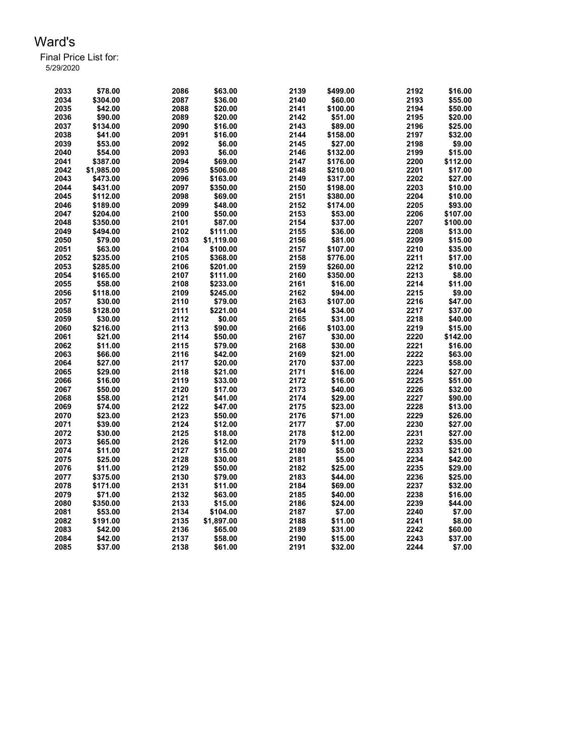| 2033 | \$78.00    | 2086 | \$63.00    | 2139 | \$499.00 | 2192 | \$16.00  |
|------|------------|------|------------|------|----------|------|----------|
| 2034 | \$304.00   | 2087 | \$36.00    | 2140 | \$60.00  | 2193 | \$55.00  |
| 2035 | \$42.00    | 2088 | \$20.00    | 2141 | \$100.00 | 2194 | \$50.00  |
| 2036 | \$90.00    | 2089 | \$20.00    | 2142 | \$51.00  | 2195 | \$20.00  |
| 2037 | \$134.00   | 2090 | \$16.00    | 2143 | \$89.00  | 2196 | \$25.00  |
| 2038 | \$41.00    | 2091 | \$16.00    | 2144 | \$158.00 | 2197 | \$32.00  |
| 2039 | \$53.00    | 2092 | \$6.00     | 2145 | \$27.00  | 2198 | \$9.00   |
| 2040 | \$54.00    | 2093 | \$6.00     | 2146 | \$132.00 | 2199 | \$15.00  |
| 2041 | \$387.00   | 2094 | \$69.00    | 2147 | \$176.00 | 2200 | \$112.00 |
| 2042 | \$1,985.00 | 2095 | \$506.00   | 2148 | \$210.00 | 2201 | \$17.00  |
| 2043 | \$473.00   | 2096 | \$163.00   | 2149 | \$317.00 | 2202 | \$27.00  |
| 2044 | \$431.00   | 2097 | \$350.00   | 2150 | \$198.00 | 2203 | \$10.00  |
| 2045 | \$112.00   | 2098 | \$69.00    | 2151 | \$380.00 | 2204 | \$10.00  |
| 2046 | \$189.00   | 2099 | \$48.00    | 2152 | \$174.00 | 2205 | \$93.00  |
| 2047 | \$204.00   | 2100 | \$50.00    | 2153 | \$53.00  | 2206 | \$107.00 |
| 2048 | \$350.00   | 2101 | \$87.00    | 2154 | \$37.00  | 2207 | \$100.00 |
| 2049 | \$494.00   | 2102 | \$111.00   | 2155 | \$36.00  | 2208 | \$13.00  |
| 2050 | \$79.00    | 2103 | \$1,119.00 | 2156 | \$81.00  | 2209 | \$15.00  |
| 2051 | \$63.00    | 2104 | \$100.00   | 2157 | \$107.00 | 2210 | \$35.00  |
| 2052 | \$235.00   | 2105 | \$368.00   | 2158 | \$776.00 | 2211 | \$17.00  |
| 2053 | \$285.00   | 2106 | \$201.00   | 2159 | \$260.00 | 2212 | \$10.00  |
| 2054 | \$165.00   | 2107 | \$111.00   | 2160 | \$350.00 | 2213 | \$8.00   |
| 2055 | \$58.00    | 2108 | \$233.00   | 2161 | \$16.00  | 2214 | \$11.00  |
| 2056 | \$118.00   | 2109 | \$245.00   | 2162 | \$94.00  | 2215 | \$9.00   |
| 2057 | \$30.00    | 2110 | \$79.00    | 2163 | \$107.00 | 2216 | \$47.00  |
| 2058 | \$128.00   | 2111 | \$221.00   | 2164 | \$34.00  | 2217 | \$37.00  |
| 2059 | \$30.00    | 2112 | \$0.00     | 2165 | \$31.00  | 2218 | \$40.00  |
| 2060 | \$216.00   | 2113 | \$90.00    | 2166 | \$103.00 | 2219 | \$15.00  |
| 2061 | \$21.00    | 2114 | \$50.00    | 2167 | \$30.00  | 2220 | \$142.00 |
| 2062 | \$11.00    | 2115 | \$79.00    | 2168 | \$30.00  | 2221 | \$16.00  |
| 2063 | \$66.00    | 2116 | \$42.00    | 2169 | \$21.00  | 2222 | \$63.00  |
| 2064 | \$27.00    | 2117 | \$20.00    | 2170 | \$37.00  | 2223 | \$58.00  |
| 2065 | \$29.00    | 2118 | \$21.00    | 2171 | \$16.00  | 2224 | \$27.00  |
| 2066 | \$16.00    | 2119 | \$33.00    | 2172 | \$16.00  | 2225 | \$51.00  |
| 2067 | \$50.00    | 2120 | \$17.00    | 2173 | \$40.00  | 2226 | \$32.00  |
| 2068 | \$58.00    | 2121 | \$41.00    | 2174 | \$29.00  | 2227 | \$90.00  |
| 2069 | \$74.00    | 2122 | \$47.00    | 2175 | \$23.00  | 2228 | \$13.00  |
| 2070 | \$23.00    | 2123 | \$50.00    | 2176 | \$71.00  | 2229 | \$26.00  |
| 2071 | \$39.00    | 2124 | \$12.00    | 2177 | \$7.00   | 2230 | \$27.00  |
| 2072 | \$30.00    | 2125 | \$18.00    | 2178 | \$12.00  | 2231 | \$27.00  |
| 2073 | \$65.00    | 2126 | \$12.00    | 2179 | \$11.00  | 2232 | \$35.00  |
| 2074 | \$11.00    | 2127 | \$15.00    | 2180 | \$5.00   | 2233 | \$21.00  |
| 2075 | \$25.00    | 2128 | \$30.00    | 2181 | \$5.00   | 2234 | \$42.00  |
| 2076 | \$11.00    | 2129 | \$50.00    | 2182 | \$25.00  | 2235 | \$29.00  |
| 2077 | \$375.00   | 2130 | \$79.00    | 2183 | \$44.00  | 2236 | \$25.00  |
| 2078 | \$171.00   | 2131 | \$11.00    | 2184 | \$69.00  | 2237 | \$32.00  |
| 2079 | \$71.00    | 2132 | \$63.00    | 2185 | \$40.00  | 2238 | \$16.00  |
| 2080 | \$350.00   | 2133 | \$15.00    | 2186 | \$24.00  | 2239 | \$44.00  |
| 2081 | \$53.00    | 2134 | \$104.00   | 2187 | \$7.00   | 2240 | \$7.00   |
| 2082 | \$191.00   | 2135 | \$1,897.00 | 2188 | \$11.00  | 2241 | \$8.00   |
| 2083 | \$42.00    | 2136 | \$65.00    | 2189 | \$31.00  | 2242 | \$60.00  |
| 2084 | \$42.00    | 2137 | \$58.00    | 2190 | \$15.00  | 2243 | \$37.00  |
| 2085 | \$37.00    | 2138 | \$61.00    | 2191 | \$32.00  | 2244 | \$7.00   |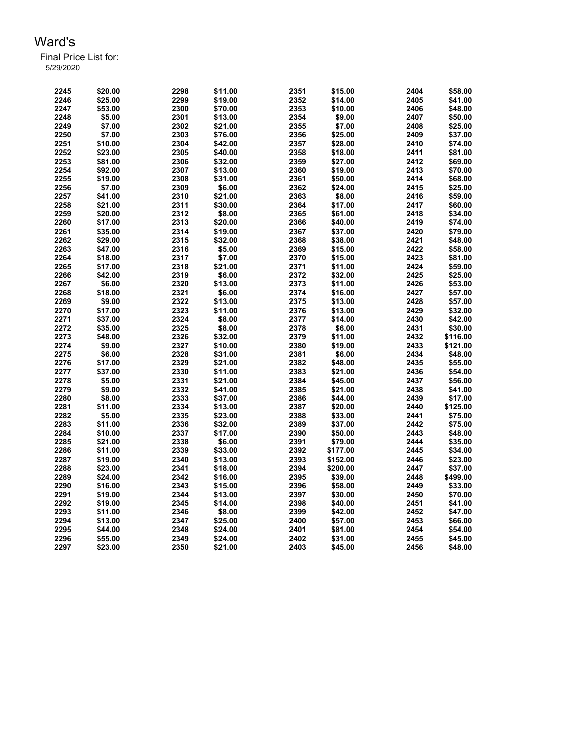| 2245         | \$20.00            | 2298         | \$11.00            | 2351         | \$15.00             | 2404         | \$58.00             |
|--------------|--------------------|--------------|--------------------|--------------|---------------------|--------------|---------------------|
| 2246         | \$25.00            | 2299         | \$19.00            | 2352         | \$14.00             | 2405         | \$41.00             |
| 2247         | \$53.00            | 2300         | \$70.00            | 2353         | \$10.00             | 2406         | \$48.00             |
| 2248         | \$5.00             | 2301         | \$13.00            | 2354         | \$9.00              | 2407         | \$50.00             |
| 2249         | \$7.00             | 2302         | \$21.00            | 2355         | \$7.00              | 2408         | \$25.00             |
| 2250         | \$7.00             | 2303         | \$76.00            | 2356         | \$25.00             | 2409         | \$37.00             |
| 2251         | \$10.00            | 2304         | \$42.00            | 2357         | \$28.00             | 2410         | \$74.00             |
| 2252         | \$23.00            | 2305         | \$40.00            | 2358         | \$18.00             | 2411         | \$81.00             |
| 2253         | \$81.00            | 2306         | \$32.00            | 2359         | \$27.00             | 2412         | \$69.00             |
| 2254         | \$92.00            | 2307         | \$13.00            | 2360         | \$19.00             | 2413         | \$70.00             |
| 2255         | \$19.00            | 2308         | \$31.00            | 2361         | \$50.00             | 2414         | \$68.00             |
| 2256         | \$7.00             | 2309         | \$6.00             | 2362         | \$24.00             | 2415         | \$25.00             |
| 2257         | \$41.00            | 2310         | \$21.00            | 2363         | \$8.00              | 2416         | \$59.00             |
| 2258         | \$21.00            | 2311         | \$30.00            | 2364         | \$17.00             | 2417         | \$60.00             |
| 2259         | \$20.00            | 2312         | \$8.00             | 2365         | \$61.00             | 2418         | \$34.00             |
| 2260         | \$17.00            | 2313         | \$20.00            | 2366         | \$40.00             | 2419         | \$74.00             |
| 2261         | \$35.00            | 2314         | \$19.00            | 2367         | \$37.00             | 2420         | \$79.00             |
| 2262         | \$29.00            | 2315         | \$32.00            | 2368         | \$38.00             | 2421         | \$48.00             |
| 2263         | \$47.00            | 2316         | \$5.00             | 2369         | \$15.00             | 2422         | \$58.00             |
| 2264         | \$18.00            | 2317         | \$7.00             | 2370         | \$15.00             | 2423         | \$81.00             |
| 2265         | \$17.00            | 2318         | \$21.00            | 2371         | \$11.00             | 2424         | \$59.00             |
| 2266         | \$42.00            | 2319         | \$6.00             | 2372         | \$32.00             | 2425         | \$25.00             |
| 2267         | \$6.00             | 2320         | \$13.00            | 2373         | \$11.00             | 2426         | \$53.00             |
| 2268         | \$18.00            | 2321         | \$6.00             | 2374         | \$16.00             | 2427         | \$57.00             |
| 2269         | \$9.00             | 2322         | \$13.00            | 2375         | \$13.00             | 2428         | \$57.00             |
| 2270         | \$17.00            | 2323         | \$11.00            | 2376         | \$13.00             | 2429         | \$32.00             |
| 2271         |                    | 2324         |                    | 2377         |                     | 2430         | \$42.00             |
| 2272         | \$37.00<br>\$35.00 | 2325         | \$8.00<br>\$8.00   | 2378         | \$14.00<br>\$6.00   | 2431         | \$30.00             |
| 2273         | \$48.00            | 2326         | \$32.00            | 2379         | \$11.00             | 2432         | \$116.00            |
| 2274         | \$9.00             | 2327         |                    | 2380         | \$19.00             | 2433         |                     |
|              |                    |              | \$10.00            |              |                     |              | \$121.00            |
| 2275         | \$6.00             | 2328         | \$31.00            | 2381         | \$6.00              | 2434         | \$48.00             |
| 2276         | \$17.00            | 2329         | \$21.00            | 2382         | \$48.00             | 2435         | \$55.00             |
| 2277         | \$37.00            | 2330         | \$11.00            | 2383         | \$21.00             | 2436         | \$54.00             |
| 2278         | \$5.00             | 2331         | \$21.00            | 2384         | \$45.00             | 2437         | \$56.00             |
| 2279         | \$9.00             | 2332<br>2333 | \$41.00            | 2385         | \$21.00             | 2438<br>2439 | \$41.00             |
| 2280<br>2281 | \$8.00             |              | \$37.00            | 2386<br>2387 | \$44.00             | 2440         | \$17.00             |
| 2282         | \$11.00<br>\$5.00  | 2334<br>2335 | \$13.00            | 2388         | \$20.00             | 2441         | \$125.00<br>\$75.00 |
| 2283         | \$11.00            | 2336         | \$23.00            | 2389         | \$33.00<br>\$37.00  | 2442         | \$75.00             |
| 2284         | \$10.00            | 2337         | \$32.00<br>\$17.00 | 2390         |                     | 2443         | \$48.00             |
| 2285         | \$21.00            | 2338         | \$6.00             | 2391         | \$50.00             | 2444         | \$35.00             |
| 2286         | \$11.00            | 2339         | \$33.00            | 2392         | \$79.00<br>\$177.00 | 2445         | \$34.00             |
| 2287         |                    | 2340         |                    | 2393         |                     | 2446         | \$23.00             |
|              | \$19.00            |              | \$13.00            | 2394         | \$152.00            | 2447         |                     |
| 2288         | \$23.00            | 2341         | \$18.00            | 2395         | \$200.00            | 2448         | \$37.00             |
| 2289         | \$24.00            | 2342         | \$16.00            |              | \$39.00             |              | \$499.00            |
| 2290         | \$16.00            | 2343         | \$15.00            | 2396         | \$58.00             | 2449         | \$33.00             |
| 2291         | \$19.00            | 2344         | \$13.00            | 2397         | \$30.00             | 2450         | \$70.00             |
| 2292         | \$19.00            | 2345         | \$14.00            | 2398         | \$40.00             | 2451         | \$41.00             |
| 2293         | \$11.00            | 2346         | \$8.00             | 2399         | \$42.00             | 2452         | \$47.00             |
| 2294         | \$13.00            | 2347         | \$25.00            | 2400         | \$57.00             | 2453         | \$66.00             |
| 2295         | \$44.00            | 2348         | \$24.00            | 2401         | \$81.00             | 2454         | \$54.00             |
| 2296         | \$55.00            | 2349         | \$24.00            | 2402         | \$31.00             | 2455         | \$45.00             |
| 2297         | \$23.00            | 2350         | \$21.00            | 2403         | \$45.00             | 2456         | \$48.00             |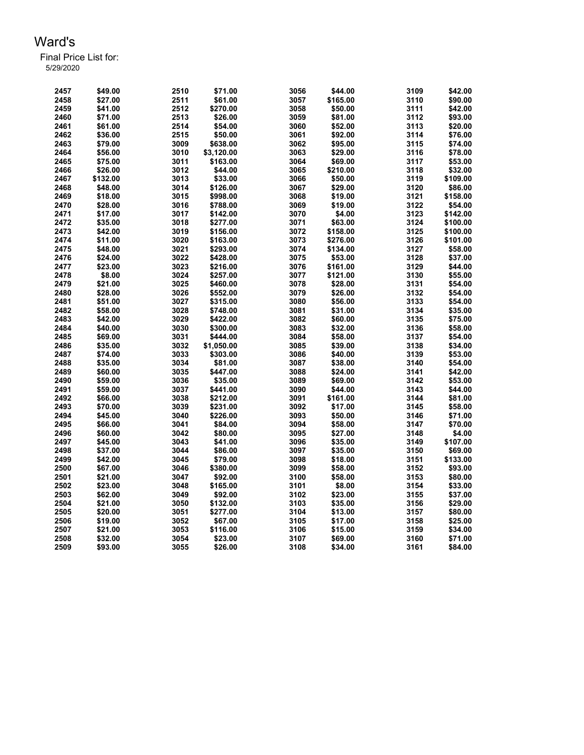| 2457 | \$49.00  | 2510 | \$71.00              | 3056         | \$44.00  | 3109         | \$42.00  |
|------|----------|------|----------------------|--------------|----------|--------------|----------|
| 2458 | \$27.00  | 2511 | \$61.00              | 3057         | \$165.00 | 3110         | \$90.00  |
| 2459 | \$41.00  | 2512 | \$270.00             | 3058         | \$50.00  | 3111         | \$42.00  |
| 2460 | \$71.00  | 2513 | \$26.00              | 3059         | \$81.00  | 3112         | \$93.00  |
| 2461 | \$61.00  | 2514 | \$54.00              | 3060         | \$52.00  | 3113         | \$20.00  |
| 2462 | \$36.00  | 2515 | \$50.00              | 3061         | \$92.00  | 3114         | \$76.00  |
| 2463 | \$79.00  | 3009 | \$638.00             | 3062         | \$95.00  | 3115         | \$74.00  |
| 2464 | \$56.00  | 3010 | \$3,120.00           | 3063         | \$29.00  | 3116         | \$78.00  |
| 2465 | \$75.00  | 3011 | \$163.00             | 3064         | \$69.00  | 3117         | \$53.00  |
| 2466 | \$26.00  | 3012 | \$44.00              | 3065         | \$210.00 | 3118         | \$32.00  |
| 2467 | \$132.00 | 3013 | \$33.00              | 3066         | \$50.00  | 3119         | \$109.00 |
| 2468 | \$48.00  | 3014 | \$126.00             | 3067         | \$29.00  | 3120         | \$86.00  |
| 2469 | \$18.00  | 3015 | \$998.00             | 3068         | \$19.00  | 3121         | \$158.00 |
| 2470 | \$28.00  | 3016 | \$788.00             | 3069         | \$19.00  | 3122         | \$54.00  |
| 2471 | \$17.00  | 3017 | \$142.00             | 3070         | \$4.00   | 3123         | \$142.00 |
| 2472 | \$35.00  | 3018 | \$277.00             | 3071         | \$63.00  | 3124         | \$100.00 |
| 2473 | \$42.00  | 3019 | \$156.00             | 3072         | \$158.00 | 3125         | \$100.00 |
| 2474 | \$11.00  | 3020 | \$163.00             | 3073         | \$276.00 | 3126         | \$101.00 |
| 2475 | \$48.00  | 3021 | \$293.00             | 3074         | \$134.00 | 3127         | \$58.00  |
| 2476 | \$24.00  | 3022 | \$428.00             | 3075         | \$53.00  | 3128         | \$37.00  |
| 2477 | \$23.00  | 3023 | \$216.00             | 3076         | \$161.00 | 3129         | \$44.00  |
| 2478 | \$8.00   | 3024 | \$257.00             | 3077         | \$121.00 | 3130         | \$55.00  |
| 2479 | \$21.00  | 3025 | \$460.00             | 3078         | \$28.00  | 3131         | \$54.00  |
| 2480 | \$28.00  | 3026 | \$552.00             | 3079         | \$26.00  | 3132         | \$54.00  |
| 2481 | \$51.00  | 3027 | \$315.00             | 3080         | \$56.00  | 3133         | \$54.00  |
| 2482 | \$58.00  | 3028 |                      |              |          | 3134         | \$35.00  |
| 2483 | \$42.00  | 3029 | \$748.00<br>\$422.00 | 3081<br>3082 | \$31.00  |              | \$75.00  |
| 2484 |          |      |                      |              | \$60.00  | 3135<br>3136 |          |
|      | \$40.00  | 3030 | \$300.00             | 3083         | \$32.00  |              | \$58.00  |
| 2485 | \$69.00  | 3031 | \$444.00             | 3084         | \$58.00  | 3137         | \$54.00  |
| 2486 | \$35.00  | 3032 | \$1,050.00           | 3085         | \$39.00  | 3138         | \$34.00  |
| 2487 | \$74.00  | 3033 | \$303.00             | 3086         | \$40.00  | 3139         | \$53.00  |
| 2488 | \$35.00  | 3034 | \$81.00              | 3087         | \$38.00  | 3140         | \$54.00  |
| 2489 | \$60.00  | 3035 | \$447.00             | 3088         | \$24.00  | 3141         | \$42.00  |
| 2490 | \$59.00  | 3036 | \$35.00              | 3089         | \$69.00  | 3142         | \$53.00  |
| 2491 | \$59.00  | 3037 | \$441.00             | 3090         | \$44.00  | 3143         | \$44.00  |
| 2492 | \$66.00  | 3038 | \$212.00             | 3091         | \$161.00 | 3144         | \$81.00  |
| 2493 | \$70.00  | 3039 | \$231.00             | 3092         | \$17.00  | 3145         | \$58.00  |
| 2494 | \$45.00  | 3040 | \$226.00             | 3093         | \$50.00  | 3146         | \$71.00  |
| 2495 | \$66.00  | 3041 | \$84.00              | 3094         | \$58.00  | 3147         | \$70.00  |
| 2496 | \$60.00  | 3042 | \$80.00              | 3095         | \$27.00  | 3148         | \$4.00   |
| 2497 | \$45.00  | 3043 | \$41.00              | 3096         | \$35.00  | 3149         | \$107.00 |
| 2498 | \$37.00  | 3044 | \$86.00              | 3097         | \$35.00  | 3150         | \$69.00  |
| 2499 | \$42.00  | 3045 | \$79.00              | 3098         | \$18.00  | 3151         | \$133.00 |
| 2500 | \$67.00  | 3046 | \$380.00             | 3099         | \$58.00  | 3152         | \$93.00  |
| 2501 | \$21.00  | 3047 | \$92.00              | 3100         | \$58.00  | 3153         | \$80.00  |
| 2502 | \$23.00  | 3048 | \$165.00             | 3101         | \$8.00   | 3154         | \$33.00  |
| 2503 | \$62.00  | 3049 | \$92.00              | 3102         | \$23.00  | 3155         | \$37.00  |
| 2504 | \$21.00  | 3050 | \$132.00             | 3103         | \$35.00  | 3156         | \$29.00  |
| 2505 | \$20.00  | 3051 | \$277.00             | 3104         | \$13.00  | 3157         | \$80.00  |
| 2506 | \$19.00  | 3052 | \$67.00              | 3105         | \$17.00  | 3158         | \$25.00  |
| 2507 | \$21.00  | 3053 | \$116.00             | 3106         | \$15.00  | 3159         | \$34.00  |
| 2508 | \$32.00  | 3054 | \$23.00              | 3107         | \$69.00  | 3160         | \$71.00  |
| 2509 | \$93.00  | 3055 | \$26.00              | 3108         | \$34.00  | 3161         | \$84.00  |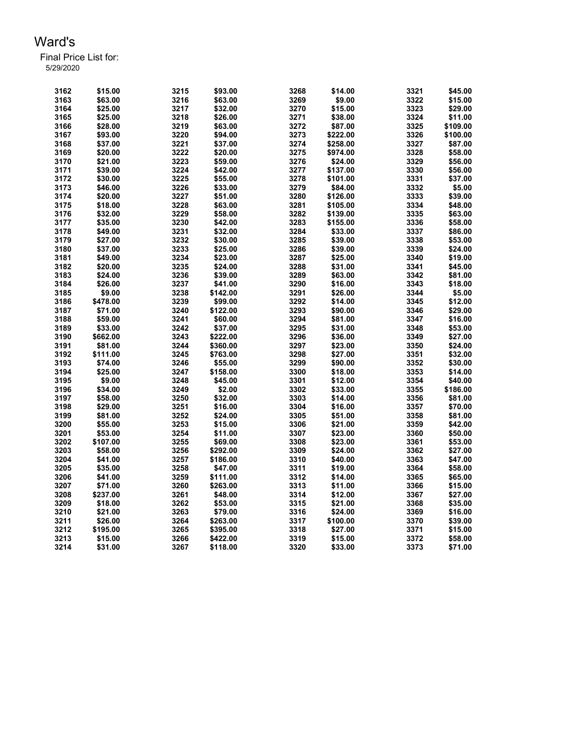| 3162 | \$15.00  | 3215 | \$93.00  | 3268 | \$14.00  | 3321 | \$45.00  |
|------|----------|------|----------|------|----------|------|----------|
| 3163 | \$63.00  | 3216 | \$63.00  | 3269 | \$9.00   | 3322 | \$15.00  |
| 3164 | \$25.00  | 3217 | \$32.00  | 3270 | \$15.00  | 3323 | \$29.00  |
| 3165 | \$25.00  | 3218 | \$26.00  | 3271 | \$38.00  | 3324 | \$11.00  |
| 3166 | \$28.00  | 3219 | \$63.00  | 3272 | \$87.00  | 3325 | \$109.00 |
| 3167 | \$93.00  | 3220 | \$94.00  | 3273 | \$222.00 | 3326 | \$100.00 |
| 3168 | \$37.00  | 3221 | \$37.00  | 3274 | \$258.00 | 3327 | \$87.00  |
| 3169 | \$20.00  | 3222 | \$20.00  | 3275 | \$974.00 | 3328 | \$58.00  |
| 3170 | \$21.00  | 3223 | \$59.00  | 3276 | \$24.00  | 3329 | \$56.00  |
| 3171 | \$39.00  | 3224 | \$42.00  | 3277 | \$137.00 | 3330 | \$56.00  |
| 3172 | \$30.00  | 3225 | \$55.00  | 3278 | \$101.00 | 3331 | \$37.00  |
| 3173 | \$46.00  | 3226 | \$33.00  | 3279 | \$84.00  | 3332 | \$5.00   |
| 3174 | \$20.00  | 3227 | \$51.00  | 3280 | \$126.00 | 3333 | \$39.00  |
| 3175 | \$18.00  | 3228 | \$63.00  | 3281 | \$105.00 | 3334 | \$48.00  |
| 3176 | \$32.00  | 3229 | \$58.00  | 3282 | \$139.00 | 3335 | \$63.00  |
| 3177 | \$35.00  | 3230 | \$42.00  | 3283 | \$155.00 | 3336 | \$58.00  |
| 3178 | \$49.00  | 3231 | \$32.00  | 3284 | \$33.00  | 3337 | \$86.00  |
| 3179 | \$27.00  | 3232 | \$30.00  | 3285 | \$39.00  | 3338 | \$53.00  |
|      |          |      |          |      |          | 3339 |          |
| 3180 | \$37.00  | 3233 | \$25.00  | 3286 | \$39.00  |      | \$24.00  |
| 3181 | \$49.00  | 3234 | \$23.00  | 3287 | \$25.00  | 3340 | \$19.00  |
| 3182 | \$20.00  | 3235 | \$24.00  | 3288 | \$31.00  | 3341 | \$45.00  |
| 3183 | \$24.00  | 3236 | \$39.00  | 3289 | \$63.00  | 3342 | \$81.00  |
| 3184 | \$26.00  | 3237 | \$41.00  | 3290 | \$16.00  | 3343 | \$18.00  |
| 3185 | \$9.00   | 3238 | \$142.00 | 3291 | \$26.00  | 3344 | \$5.00   |
| 3186 | \$478.00 | 3239 | \$99.00  | 3292 | \$14.00  | 3345 | \$12.00  |
| 3187 | \$71.00  | 3240 | \$122.00 | 3293 | \$90.00  | 3346 | \$29.00  |
| 3188 | \$59.00  | 3241 | \$60.00  | 3294 | \$81.00  | 3347 | \$16.00  |
| 3189 | \$33.00  | 3242 | \$37.00  | 3295 | \$31.00  | 3348 | \$53.00  |
| 3190 | \$662.00 | 3243 | \$222.00 | 3296 | \$36.00  | 3349 | \$27.00  |
| 3191 | \$81.00  | 3244 | \$360.00 | 3297 | \$23.00  | 3350 | \$24.00  |
| 3192 | \$111.00 | 3245 | \$763.00 | 3298 | \$27.00  | 3351 | \$32.00  |
| 3193 | \$74.00  | 3246 | \$55.00  | 3299 | \$90.00  | 3352 | \$30.00  |
| 3194 | \$25.00  | 3247 | \$158.00 | 3300 | \$18.00  | 3353 | \$14.00  |
| 3195 | \$9.00   | 3248 | \$45.00  | 3301 | \$12.00  | 3354 | \$40.00  |
| 3196 | \$34.00  | 3249 | \$2.00   | 3302 | \$33.00  | 3355 | \$186.00 |
| 3197 | \$58.00  | 3250 | \$32.00  | 3303 | \$14.00  | 3356 | \$81.00  |
| 3198 | \$29.00  | 3251 | \$16.00  | 3304 | \$16.00  | 3357 | \$70.00  |
| 3199 | \$81.00  | 3252 | \$24.00  | 3305 | \$51.00  | 3358 | \$81.00  |
| 3200 | \$55.00  | 3253 | \$15.00  | 3306 | \$21.00  | 3359 | \$42.00  |
| 3201 | \$53.00  | 3254 | \$11.00  | 3307 | \$23.00  | 3360 | \$50.00  |
| 3202 | \$107.00 | 3255 | \$69.00  | 3308 | \$23.00  | 3361 | \$53.00  |
| 3203 | \$58.00  | 3256 | \$292.00 | 3309 | \$24.00  | 3362 | \$27.00  |
| 3204 | \$41.00  | 3257 | \$186.00 | 3310 | \$40.00  | 3363 | \$47.00  |
| 3205 | \$35.00  | 3258 | \$47.00  | 3311 | \$19.00  | 3364 | \$58.00  |
| 3206 | \$41.00  | 3259 | \$111.00 | 3312 | \$14.00  | 3365 | \$65.00  |
| 3207 | \$71.00  | 3260 | \$263.00 | 3313 | \$11.00  | 3366 | \$15.00  |
| 3208 | \$237.00 | 3261 | \$48.00  | 3314 | \$12.00  | 3367 | \$27.00  |
| 3209 | \$18.00  | 3262 | \$53.00  | 3315 | \$21.00  | 3368 | \$35.00  |
| 3210 | \$21.00  | 3263 | \$79.00  | 3316 | \$24.00  | 3369 | \$16.00  |
| 3211 | \$26.00  | 3264 | \$263.00 | 3317 | \$100.00 | 3370 | \$39.00  |
| 3212 | \$195.00 | 3265 | \$395.00 | 3318 | \$27.00  | 3371 | \$15.00  |
| 3213 | \$15.00  | 3266 | \$422.00 | 3319 | \$15.00  | 3372 | \$58.00  |
| 3214 | \$31.00  | 3267 | \$118.00 | 3320 | \$33.00  | 3373 | \$71.00  |
|      |          |      |          |      |          |      |          |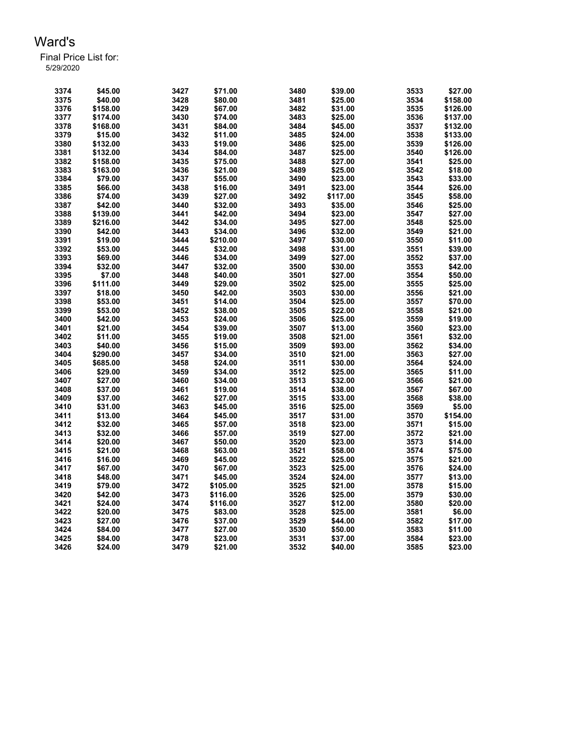| 3374 | \$45.00  | 3427 | \$71.00  | 3480 | \$39.00  | 3533 | \$27.00  |
|------|----------|------|----------|------|----------|------|----------|
| 3375 | \$40.00  | 3428 | \$80.00  | 3481 | \$25.00  | 3534 | \$158.00 |
| 3376 | \$158.00 | 3429 | \$67.00  | 3482 | \$31.00  | 3535 | \$126.00 |
| 3377 | \$174.00 | 3430 | \$74.00  | 3483 | \$25.00  | 3536 | \$137.00 |
| 3378 | \$168.00 | 3431 | \$84.00  | 3484 | \$45.00  | 3537 | \$132.00 |
| 3379 | \$15.00  | 3432 | \$11.00  | 3485 | \$24.00  | 3538 | \$133.00 |
| 3380 | \$132.00 | 3433 | \$19.00  | 3486 | \$25.00  | 3539 | \$126.00 |
| 3381 | \$132.00 | 3434 | \$84.00  | 3487 | \$25.00  | 3540 | \$126.00 |
| 3382 | \$158.00 | 3435 | \$75.00  | 3488 | \$27.00  | 3541 | \$25.00  |
| 3383 | \$163.00 | 3436 | \$21.00  | 3489 | \$25.00  | 3542 | \$18.00  |
| 3384 | \$79.00  | 3437 | \$55.00  | 3490 | \$23.00  | 3543 | \$33.00  |
| 3385 | \$66.00  | 3438 | \$16.00  | 3491 | \$23.00  | 3544 | \$26.00  |
| 3386 | \$74.00  | 3439 | \$27.00  | 3492 | \$117.00 | 3545 | \$58.00  |
| 3387 | \$42.00  | 3440 | \$32.00  | 3493 | \$35.00  | 3546 | \$25.00  |
| 3388 | \$139.00 | 3441 | \$42.00  | 3494 | \$23.00  | 3547 | \$27.00  |
| 3389 | \$216.00 | 3442 | \$34.00  | 3495 | \$27.00  | 3548 | \$25.00  |
| 3390 | \$42.00  | 3443 | \$34.00  | 3496 | \$32.00  | 3549 | \$21.00  |
| 3391 | \$19.00  | 3444 | \$210.00 | 3497 |          | 3550 | \$11.00  |
|      |          | 3445 |          |      | \$30.00  |      |          |
| 3392 | \$53.00  |      | \$32.00  | 3498 | \$31.00  | 3551 | \$39.00  |
| 3393 | \$69.00  | 3446 | \$34.00  | 3499 | \$27.00  | 3552 | \$37.00  |
| 3394 | \$32.00  | 3447 | \$32.00  | 3500 | \$30.00  | 3553 | \$42.00  |
| 3395 | \$7.00   | 3448 | \$40.00  | 3501 | \$27.00  | 3554 | \$50.00  |
| 3396 | \$111.00 | 3449 | \$29.00  | 3502 | \$25.00  | 3555 | \$25.00  |
| 3397 | \$18.00  | 3450 | \$42.00  | 3503 | \$30.00  | 3556 | \$21.00  |
| 3398 | \$53.00  | 3451 | \$14.00  | 3504 | \$25.00  | 3557 | \$70.00  |
| 3399 | \$53.00  | 3452 | \$38.00  | 3505 | \$22.00  | 3558 | \$21.00  |
| 3400 | \$42.00  | 3453 | \$24.00  | 3506 | \$25.00  | 3559 | \$19.00  |
| 3401 | \$21.00  | 3454 | \$39.00  | 3507 | \$13.00  | 3560 | \$23.00  |
| 3402 | \$11.00  | 3455 | \$19.00  | 3508 | \$21.00  | 3561 | \$32.00  |
| 3403 | \$40.00  | 3456 | \$15.00  | 3509 | \$93.00  | 3562 | \$34.00  |
| 3404 | \$290.00 | 3457 | \$34.00  | 3510 | \$21.00  | 3563 | \$27.00  |
| 3405 | \$685.00 | 3458 | \$24.00  | 3511 | \$30.00  | 3564 | \$24.00  |
| 3406 | \$29.00  | 3459 | \$34.00  | 3512 | \$25.00  | 3565 | \$11.00  |
| 3407 | \$27.00  | 3460 | \$34.00  | 3513 | \$32.00  | 3566 | \$21.00  |
| 3408 | \$37.00  | 3461 | \$19.00  | 3514 | \$38.00  | 3567 | \$67.00  |
| 3409 | \$37.00  | 3462 | \$27.00  | 3515 | \$33.00  | 3568 | \$38.00  |
| 3410 | \$31.00  | 3463 | \$45.00  | 3516 | \$25.00  | 3569 | \$5.00   |
| 3411 | \$13.00  | 3464 | \$45.00  | 3517 | \$31.00  | 3570 | \$154.00 |
| 3412 | \$32.00  | 3465 | \$57.00  | 3518 | \$23.00  | 3571 | \$15.00  |
| 3413 | \$32.00  | 3466 | \$57.00  | 3519 | \$27.00  | 3572 | \$21.00  |
| 3414 | \$20.00  | 3467 | \$50.00  | 3520 | \$23.00  | 3573 | \$14.00  |
| 3415 | \$21.00  | 3468 | \$63.00  | 3521 | \$58.00  | 3574 | \$75.00  |
| 3416 | \$16.00  | 3469 | \$45.00  | 3522 | \$25.00  | 3575 | \$21.00  |
| 3417 | \$67.00  | 3470 | \$67.00  | 3523 | \$25.00  | 3576 | \$24.00  |
| 3418 | \$48.00  | 3471 | \$45.00  | 3524 | \$24.00  | 3577 | \$13.00  |
| 3419 | \$79.00  | 3472 | \$105.00 | 3525 | \$21.00  | 3578 | \$15.00  |
| 3420 | \$42.00  | 3473 | \$116.00 | 3526 | \$25.00  | 3579 | \$30.00  |
| 3421 | \$24.00  | 3474 | \$116.00 | 3527 | \$12.00  | 3580 | \$20.00  |
| 3422 | \$20.00  | 3475 | \$83.00  | 3528 | \$25.00  | 3581 | \$6.00   |
| 3423 | \$27.00  | 3476 | \$37.00  | 3529 | \$44.00  | 3582 | \$17.00  |
| 3424 | \$84.00  | 3477 | \$27.00  | 3530 | \$50.00  | 3583 | \$11.00  |
| 3425 | \$84.00  | 3478 | \$23.00  | 3531 | \$37.00  | 3584 | \$23.00  |
| 3426 | \$24.00  | 3479 | \$21.00  | 3532 | \$40.00  | 3585 | \$23.00  |
|      |          |      |          |      |          |      |          |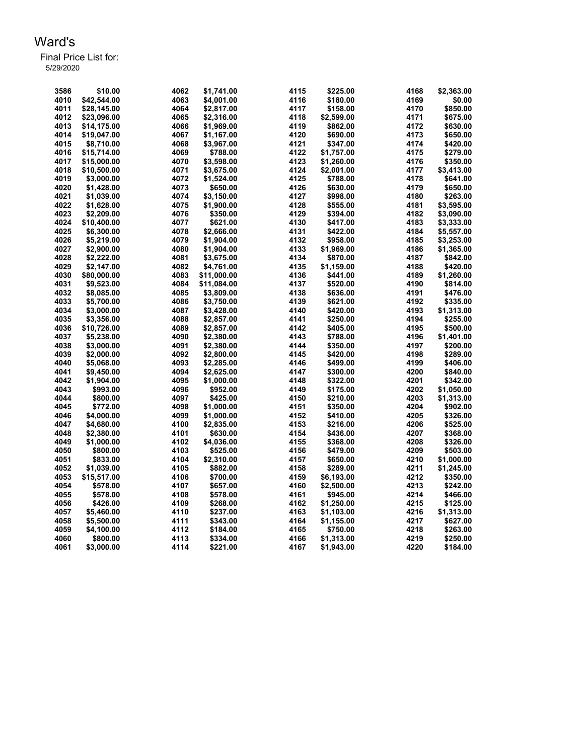| 3586 | \$10.00     | 4062 | \$1,741.00  | 4115 | \$225.00   | 4168 | \$2,363.00 |
|------|-------------|------|-------------|------|------------|------|------------|
| 4010 | \$42,544.00 | 4063 | \$4,001.00  | 4116 | \$180.00   | 4169 | \$0.00     |
| 4011 | \$28,145.00 | 4064 | \$2,817.00  | 4117 | \$158.00   | 4170 | \$850.00   |
| 4012 | \$23,096.00 | 4065 | \$2,316.00  | 4118 | \$2,599.00 | 4171 | \$675.00   |
| 4013 |             | 4066 |             | 4119 |            | 4172 | \$630.00   |
| 4014 | \$14,175.00 |      | \$1,969.00  |      | \$862.00   |      |            |
|      | \$19,047.00 | 4067 | \$1,167.00  | 4120 | \$690.00   | 4173 | \$650.00   |
| 4015 | \$8,710.00  | 4068 | \$3,967.00  | 4121 | \$347.00   | 4174 | \$420.00   |
| 4016 | \$15.714.00 | 4069 | \$788.00    | 4122 | \$1,757.00 | 4175 | \$279.00   |
| 4017 | \$15,000.00 | 4070 | \$3,598.00  | 4123 | \$1,260.00 | 4176 | \$350.00   |
| 4018 | \$10.500.00 | 4071 | \$3.675.00  | 4124 | \$2,001.00 | 4177 | \$3,413.00 |
| 4019 | \$3,000.00  | 4072 | \$1,524.00  | 4125 | \$788.00   | 4178 | \$641.00   |
| 4020 | \$1,428.00  | 4073 | \$650.00    | 4126 | \$630.00   | 4179 | \$650.00   |
| 4021 | \$1,039.00  | 4074 | \$3,150.00  | 4127 | \$998.00   | 4180 | \$263.00   |
| 4022 | \$1,628.00  | 4075 | \$1,900.00  | 4128 | \$555.00   | 4181 | \$3,595.00 |
| 4023 | \$2,209.00  | 4076 | \$350.00    | 4129 | \$394.00   | 4182 | \$3,090.00 |
| 4024 | \$10.400.00 | 4077 | \$621.00    | 4130 | \$417.00   | 4183 | \$3,333.00 |
| 4025 | \$6,300.00  | 4078 | \$2,666.00  | 4131 | \$422.00   | 4184 | \$5,557.00 |
| 4026 | \$5,219.00  | 4079 | \$1.904.00  | 4132 | \$958.00   | 4185 | \$3,253.00 |
| 4027 | \$2,900.00  | 4080 | \$1,904.00  | 4133 | \$1,969.00 | 4186 | \$1,365.00 |
| 4028 | \$2,222.00  | 4081 | \$3,675.00  | 4134 | \$870.00   | 4187 | \$842.00   |
| 4029 | \$2.147.00  | 4082 | \$4.761.00  | 4135 | \$1,159.00 | 4188 | \$420.00   |
| 4030 | \$80,000.00 | 4083 | \$11,000.00 | 4136 | \$441.00   | 4189 | \$1,260.00 |
| 4031 | \$9.523.00  | 4084 | \$11,084.00 | 4137 | \$520.00   | 4190 | \$814.00   |
| 4032 | \$8,085.00  | 4085 | \$3,809.00  | 4138 | \$636.00   | 4191 | \$476.00   |
| 4033 | \$5,700.00  | 4086 | \$3,750.00  | 4139 | \$621.00   | 4192 | \$335.00   |
| 4034 | \$3,000.00  | 4087 | \$3,428.00  | 4140 | \$420.00   | 4193 | \$1,313.00 |
| 4035 | \$3,356.00  | 4088 | \$2,857.00  | 4141 | \$250.00   | 4194 | \$255.00   |
| 4036 | \$10,726.00 | 4089 | \$2,857.00  | 4142 | \$405.00   | 4195 | \$500.00   |
| 4037 | \$5,238.00  | 4090 | \$2,380.00  | 4143 | \$788.00   | 4196 | \$1,401.00 |
| 4038 | \$3,000.00  | 4091 | \$2,380.00  | 4144 |            | 4197 | \$200.00   |
|      |             |      |             |      | \$350.00   | 4198 |            |
| 4039 | \$2,000.00  | 4092 | \$2,800.00  | 4145 | \$420.00   |      | \$289.00   |
| 4040 | \$5,068.00  | 4093 | \$2,285.00  | 4146 | \$499.00   | 4199 | \$406.00   |
| 4041 | \$9,450.00  | 4094 | \$2,625.00  | 4147 | \$300.00   | 4200 | \$840.00   |
| 4042 | \$1,904.00  | 4095 | \$1,000.00  | 4148 | \$322.00   | 4201 | \$342.00   |
| 4043 | \$993.00    | 4096 | \$952.00    | 4149 | \$175.00   | 4202 | \$1,050.00 |
| 4044 | \$800.00    | 4097 | \$425.00    | 4150 | \$210.00   | 4203 | \$1,313.00 |
| 4045 | \$772.00    | 4098 | \$1,000.00  | 4151 | \$350.00   | 4204 | \$902.00   |
| 4046 | \$4,000.00  | 4099 | \$1,000.00  | 4152 | \$410.00   | 4205 | \$326.00   |
| 4047 | \$4,680.00  | 4100 | \$2,835.00  | 4153 | \$216.00   | 4206 | \$525.00   |
| 4048 | \$2,380.00  | 4101 | \$630.00    | 4154 | \$436.00   | 4207 | \$368.00   |
| 4049 | \$1,000.00  | 4102 | \$4,036.00  | 4155 | \$368.00   | 4208 | \$326.00   |
| 4050 | \$800.00    | 4103 | \$525.00    | 4156 | \$479.00   | 4209 | \$503.00   |
| 4051 | \$833.00    | 4104 | \$2,310.00  | 4157 | \$650.00   | 4210 | \$1,000.00 |
| 4052 | \$1,039.00  | 4105 | \$882.00    | 4158 | \$289.00   | 4211 | \$1,245.00 |
| 4053 | \$15,517.00 | 4106 | \$700.00    | 4159 | \$6,193.00 | 4212 | \$350.00   |
| 4054 | \$578.00    | 4107 | \$657.00    | 4160 | \$2,500.00 | 4213 | \$242.00   |
| 4055 | \$578.00    | 4108 | \$578.00    | 4161 | \$945.00   | 4214 | \$466.00   |
| 4056 | \$426.00    | 4109 | \$268.00    | 4162 | \$1,250.00 | 4215 | \$125.00   |
| 4057 | \$5,460.00  | 4110 | \$237.00    | 4163 | \$1,103.00 | 4216 | \$1,313.00 |
| 4058 | \$5,500.00  | 4111 | \$343.00    | 4164 | \$1,155.00 | 4217 | \$627.00   |
| 4059 | \$4,100.00  | 4112 | \$184.00    | 4165 | \$750.00   | 4218 | \$263.00   |
| 4060 | \$800.00    | 4113 | \$334.00    | 4166 | \$1,313.00 | 4219 | \$250.00   |
| 4061 | \$3,000.00  | 4114 | \$221.00    | 4167 | \$1,943.00 | 4220 | \$184.00   |
|      |             |      |             |      |            |      |            |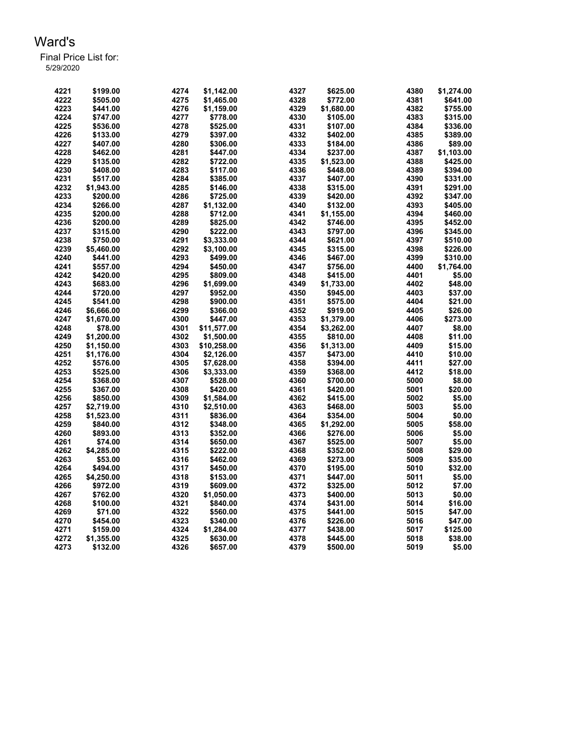| 4221 | \$199.00   | 4274 | \$1.142.00  | 4327 | \$625.00   | 4380 | \$1.274.00 |
|------|------------|------|-------------|------|------------|------|------------|
| 4222 | \$505.00   | 4275 | \$1,465.00  | 4328 | \$772.00   | 4381 | \$641.00   |
| 4223 | \$441.00   | 4276 | \$1,159.00  | 4329 | \$1,680.00 | 4382 | \$755.00   |
| 4224 | \$747.00   | 4277 | \$778.00    | 4330 | \$105.00   | 4383 | \$315.00   |
| 4225 | \$536.00   | 4278 | \$525.00    | 4331 | \$107.00   | 4384 | \$336.00   |
| 4226 | \$133.00   | 4279 | \$397.00    | 4332 | \$402.00   | 4385 | \$389.00   |
| 4227 | \$407.00   | 4280 | \$306.00    | 4333 | \$184.00   | 4386 | \$89.00    |
| 4228 | \$462.00   | 4281 | \$447.00    | 4334 | \$237.00   | 4387 | \$1,103.00 |
| 4229 | \$135.00   | 4282 | \$722.00    | 4335 | \$1,523.00 | 4388 | \$425.00   |
| 4230 | \$408.00   | 4283 | \$117.00    | 4336 | \$448.00   | 4389 | \$394.00   |
| 4231 | \$517.00   | 4284 | \$385.00    | 4337 | \$407.00   | 4390 | \$331.00   |
| 4232 | \$1,943.00 | 4285 | \$146.00    | 4338 | \$315.00   | 4391 | \$291.00   |
| 4233 | \$200.00   | 4286 | \$725.00    | 4339 | \$420.00   | 4392 | \$347.00   |
| 4234 | \$266.00   | 4287 | \$1,132.00  | 4340 | \$132.00   | 4393 | \$405.00   |
| 4235 | \$200.00   | 4288 | \$712.00    | 4341 | \$1,155.00 | 4394 | \$460.00   |
| 4236 | \$200.00   | 4289 | \$825.00    | 4342 | \$746.00   | 4395 | \$452.00   |
| 4237 | \$315.00   | 4290 | \$222.00    | 4343 | \$797.00   | 4396 | \$345.00   |
| 4238 | \$750.00   | 4291 | \$3,333.00  | 4344 | \$621.00   | 4397 | \$510.00   |
| 4239 | \$5,460.00 | 4292 | \$3,100.00  | 4345 | \$315.00   | 4398 | \$226.00   |
| 4240 | \$441.00   | 4293 | \$499.00    | 4346 | \$467.00   | 4399 | \$310.00   |
| 4241 | \$557.00   | 4294 | \$450.00    | 4347 | \$756.00   | 4400 | \$1,764.00 |
| 4242 | \$420.00   | 4295 | \$809.00    | 4348 | \$415.00   | 4401 | \$5.00     |
| 4243 | \$683.00   | 4296 | \$1,699.00  | 4349 | \$1,733.00 | 4402 | \$48.00    |
| 4244 | \$720.00   | 4297 | \$952.00    | 4350 | \$945.00   | 4403 | \$37.00    |
| 4245 | \$541.00   | 4298 | \$900.00    | 4351 | \$575.00   | 4404 | \$21.00    |
| 4246 | \$6,666.00 | 4299 | \$366.00    | 4352 | \$919.00   | 4405 | \$26.00    |
| 4247 | \$1,670.00 | 4300 | \$447.00    | 4353 | \$1,379.00 | 4406 | \$273.00   |
| 4248 | \$78.00    | 4301 | \$11,577.00 | 4354 | \$3,262.00 | 4407 | \$8.00     |
| 4249 | \$1,200.00 | 4302 | \$1,500.00  | 4355 | \$810.00   | 4408 | \$11.00    |
| 4250 | \$1,150.00 | 4303 | \$10,258.00 | 4356 | \$1,313.00 | 4409 | \$15.00    |
| 4251 | \$1,176.00 | 4304 | \$2,126.00  | 4357 | \$473.00   | 4410 | \$10.00    |
| 4252 | \$576.00   | 4305 | \$7,628.00  | 4358 | \$394.00   | 4411 | \$27.00    |
| 4253 | \$525.00   | 4306 | \$3,333.00  | 4359 | \$368.00   | 4412 | \$18.00    |
| 4254 | \$368.00   | 4307 | \$528.00    | 4360 | \$700.00   | 5000 | \$8.00     |
| 4255 | \$367.00   | 4308 | \$420.00    | 4361 | \$420.00   | 5001 | \$20.00    |
| 4256 | \$850.00   | 4309 | \$1,584.00  | 4362 | \$415.00   | 5002 | \$5.00     |
| 4257 | \$2,719.00 | 4310 | \$2,510.00  | 4363 | \$468.00   | 5003 | \$5.00     |
| 4258 | \$1,523.00 | 4311 | \$836.00    | 4364 | \$354.00   | 5004 | \$0.00     |
| 4259 | \$840.00   | 4312 | \$348.00    | 4365 | \$1,292.00 | 5005 | \$58.00    |
| 4260 | \$893.00   | 4313 | \$352.00    | 4366 | \$276.00   | 5006 | \$5.00     |
| 4261 | \$74.00    | 4314 | \$650.00    | 4367 | \$525.00   | 5007 | \$5.00     |
| 4262 | \$4,285.00 | 4315 | \$222.00    | 4368 | \$352.00   | 5008 | \$29.00    |
| 4263 | \$53.00    | 4316 | \$462.00    | 4369 | \$273.00   | 5009 | \$35.00    |
| 4264 | \$494.00   | 4317 | \$450.00    | 4370 | \$195.00   | 5010 | \$32.00    |
| 4265 | \$4,250.00 | 4318 | \$153.00    | 4371 | \$447.00   | 5011 | \$5.00     |
| 4266 | \$972.00   | 4319 | \$609.00    | 4372 | \$325.00   | 5012 | \$7.00     |
| 4267 | \$762.00   | 4320 | \$1,050.00  | 4373 | \$400.00   | 5013 | \$0.00     |
| 4268 | \$100.00   | 4321 | \$840.00    | 4374 | \$431.00   | 5014 | \$16.00    |
| 4269 | \$71.00    | 4322 | \$560.00    | 4375 | \$441.00   | 5015 | \$47.00    |
| 4270 | \$454.00   | 4323 | \$340.00    | 4376 | \$226.00   | 5016 | \$47.00    |
| 4271 | \$159.00   | 4324 | \$1,284.00  | 4377 | \$438.00   | 5017 | \$125.00   |
| 4272 | \$1,355.00 | 4325 | \$630.00    | 4378 | \$445.00   | 5018 | \$38.00    |
| 4273 | \$132.00   | 4326 | \$657.00    | 4379 | \$500.00   | 5019 | \$5.00     |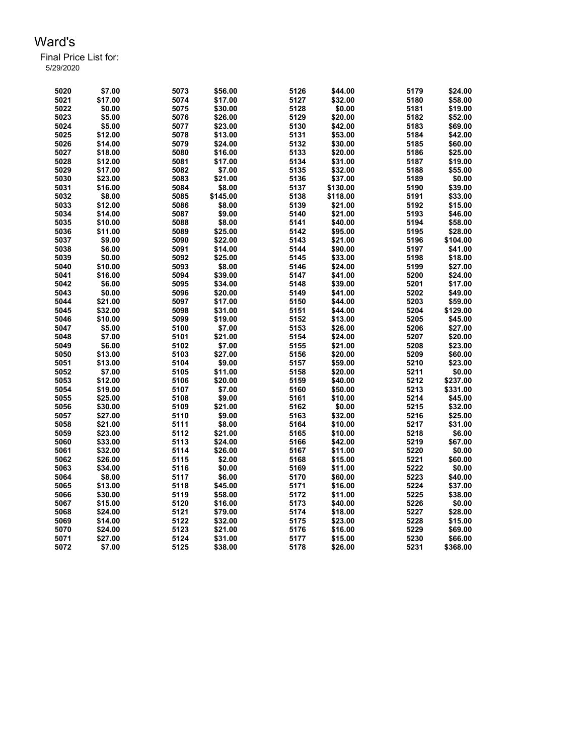| 5020 | \$7.00  | 5073 | \$56.00  | 5126 | \$44.00  | 5179 | \$24.00  |
|------|---------|------|----------|------|----------|------|----------|
| 5021 | \$17.00 | 5074 | \$17.00  | 5127 | \$32.00  | 5180 | \$58.00  |
| 5022 | \$0.00  | 5075 | \$30.00  | 5128 | \$0.00   | 5181 | \$19.00  |
| 5023 | \$5.00  | 5076 | \$26.00  | 5129 | \$20.00  | 5182 | \$52.00  |
| 5024 | \$5.00  | 5077 | \$23.00  | 5130 | \$42.00  | 5183 | \$69.00  |
| 5025 | \$12.00 | 5078 | \$13.00  | 5131 | \$53.00  | 5184 | \$42.00  |
| 5026 | \$14.00 | 5079 | \$24.00  | 5132 | \$30.00  | 5185 | \$60.00  |
| 5027 | \$18.00 | 5080 | \$16.00  | 5133 | \$20.00  | 5186 | \$25.00  |
| 5028 | \$12.00 | 5081 | \$17.00  | 5134 | \$31.00  | 5187 | \$19.00  |
| 5029 | \$17.00 | 5082 | \$7.00   | 5135 | \$32.00  | 5188 | \$55.00  |
| 5030 | \$23.00 | 5083 | \$21.00  | 5136 | \$37.00  | 5189 | \$0.00   |
| 5031 | \$16.00 | 5084 | \$8.00   | 5137 | \$130.00 | 5190 | \$39.00  |
| 5032 | \$8.00  | 5085 | \$145.00 | 5138 | \$118.00 | 5191 | \$33.00  |
| 5033 | \$12.00 | 5086 | \$8.00   | 5139 | \$21.00  | 5192 | \$15.00  |
| 5034 | \$14.00 | 5087 | \$9.00   | 5140 | \$21.00  | 5193 | \$46.00  |
| 5035 | \$10.00 | 5088 | \$8.00   | 5141 | \$40.00  | 5194 | \$58.00  |
| 5036 | \$11.00 | 5089 | \$25.00  | 5142 | \$95.00  | 5195 | \$28.00  |
| 5037 | \$9.00  | 5090 | \$22.00  | 5143 | \$21.00  | 5196 | \$104.00 |
| 5038 | \$6.00  | 5091 | \$14.00  | 5144 | \$90.00  | 5197 | \$41.00  |
| 5039 | \$0.00  | 5092 | \$25.00  | 5145 | \$33.00  | 5198 | \$18.00  |
| 5040 | \$10.00 | 5093 | \$8.00   | 5146 | \$24.00  | 5199 | \$27.00  |
| 5041 | \$16.00 | 5094 | \$39.00  | 5147 | \$41.00  | 5200 | \$24.00  |
| 5042 | \$6.00  | 5095 | \$34.00  | 5148 | \$39.00  | 5201 | \$17.00  |
| 5043 | \$0.00  | 5096 | \$20.00  | 5149 | \$41.00  | 5202 | \$49.00  |
| 5044 | \$21.00 | 5097 | \$17.00  | 5150 | \$44.00  | 5203 | \$59.00  |
| 5045 | \$32.00 | 5098 | \$31.00  | 5151 | \$44.00  | 5204 | \$129.00 |
| 5046 | \$10.00 | 5099 | \$19.00  | 5152 | \$13.00  | 5205 | \$45.00  |
| 5047 | \$5.00  | 5100 | \$7.00   | 5153 | \$26.00  | 5206 | \$27.00  |
| 5048 | \$7.00  | 5101 | \$21.00  | 5154 | \$24.00  | 5207 | \$20.00  |
| 5049 | \$6.00  | 5102 | \$7.00   | 5155 | \$21.00  | 5208 | \$23.00  |
| 5050 | \$13.00 | 5103 | \$27.00  | 5156 | \$20.00  | 5209 | \$60.00  |
| 5051 | \$13.00 | 5104 | \$9.00   | 5157 | \$59.00  | 5210 | \$23.00  |
| 5052 | \$7.00  | 5105 | \$11.00  | 5158 | \$20.00  | 5211 | \$0.00   |
| 5053 | \$12.00 | 5106 | \$20.00  | 5159 | \$40.00  | 5212 | \$237.00 |
| 5054 | \$19.00 | 5107 | \$7.00   | 5160 | \$50.00  | 5213 | \$331.00 |
| 5055 | \$25.00 | 5108 | \$9.00   | 5161 | \$10.00  | 5214 | \$45.00  |
| 5056 | \$30.00 | 5109 | \$21.00  | 5162 | \$0.00   | 5215 | \$32.00  |
| 5057 | \$27.00 | 5110 | \$9.00   | 5163 | \$32.00  | 5216 | \$25.00  |
| 5058 | \$21.00 | 5111 | \$8.00   | 5164 | \$10.00  | 5217 | \$31.00  |
| 5059 | \$23.00 | 5112 | \$21.00  | 5165 | \$10.00  | 5218 | \$6.00   |
| 5060 | \$33.00 | 5113 | \$24.00  | 5166 | \$42.00  | 5219 | \$67.00  |
| 5061 | \$32.00 | 5114 | \$26.00  | 5167 | \$11.00  | 5220 | \$0.00   |
| 5062 | \$26.00 | 5115 | \$2.00   | 5168 | \$15.00  | 5221 | \$60.00  |
| 5063 | \$34.00 | 5116 | \$0.00   | 5169 | \$11.00  | 5222 | \$0.00   |
| 5064 | \$8.00  | 5117 | \$6.00   | 5170 | \$60.00  | 5223 | \$40.00  |
| 5065 | \$13.00 | 5118 | \$45.00  | 5171 | \$16.00  | 5224 | \$37.00  |
| 5066 | \$30.00 | 5119 | \$58.00  | 5172 | \$11.00  | 5225 | \$38.00  |
| 5067 | \$15.00 | 5120 | \$16.00  | 5173 | \$40.00  | 5226 | \$0.00   |
| 5068 | \$24.00 | 5121 | \$79.00  | 5174 | \$18.00  | 5227 | \$28.00  |
| 5069 | \$14.00 | 5122 | \$32.00  | 5175 | \$23.00  | 5228 | \$15.00  |
| 5070 | \$24.00 | 5123 | \$21.00  | 5176 | \$16.00  | 5229 | \$69.00  |
| 5071 | \$27.00 | 5124 | \$31.00  | 5177 | \$15.00  | 5230 | \$66.00  |
| 5072 | \$7.00  | 5125 | \$38.00  | 5178 | \$26.00  | 5231 | \$368.00 |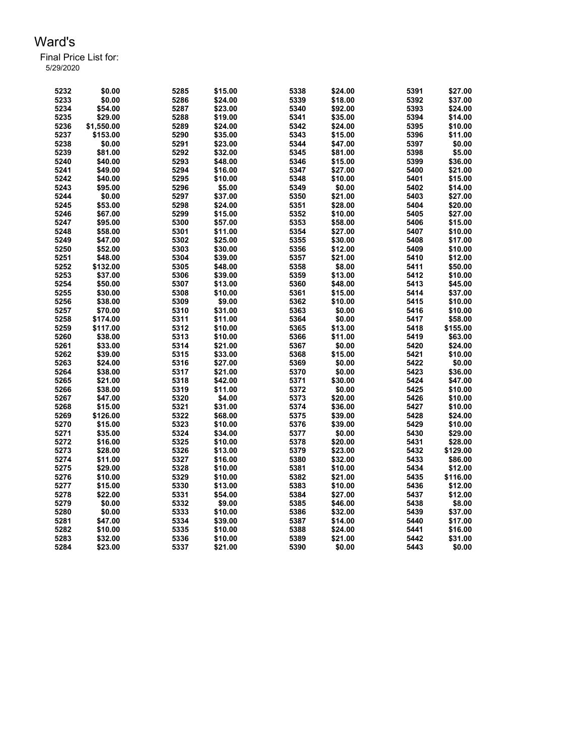| 5232 | \$0.00             | 5285         | \$15.00 | 5338         | \$24.00 | 5391         | \$27.00           |
|------|--------------------|--------------|---------|--------------|---------|--------------|-------------------|
| 5233 | \$0.00             | 5286         | \$24.00 | 5339         | \$18.00 | 5392         | \$37.00           |
| 5234 | \$54.00            | 5287         | \$23.00 | 5340         | \$92.00 | 5393         | \$24.00           |
| 5235 | \$29.00            | 5288         | \$19.00 | 5341         | \$35.00 | 5394         | \$14.00           |
| 5236 | \$1,550.00         | 5289         | \$24.00 | 5342         | \$24.00 | 5395         | \$10.00           |
| 5237 | \$153.00           | 5290         | \$35.00 | 5343         | \$15.00 | 5396         | \$11.00           |
| 5238 | \$0.00             | 5291         | \$23.00 | 5344         | \$47.00 | 5397         | \$0.00            |
| 5239 | \$81.00            | 5292         | \$32.00 | 5345         | \$81.00 | 5398         | \$5.00            |
| 5240 | \$40.00            | 5293         | \$48.00 | 5346         | \$15.00 | 5399         | \$36.00           |
| 5241 | \$49.00            | 5294         | \$16.00 | 5347         | \$27.00 | 5400         | \$21.00           |
| 5242 | \$40.00            | 5295         | \$10.00 | 5348         | \$10.00 | 5401         | \$15.00           |
| 5243 | \$95.00            | 5296         | \$5.00  | 5349         | \$0.00  | 5402         | \$14.00           |
| 5244 | \$0.00             | 5297         | \$37.00 | 5350         | \$21.00 | 5403         | \$27.00           |
| 5245 | \$53.00            | 5298         | \$24.00 | 5351         | \$28.00 | 5404         | \$20.00           |
| 5246 | \$67.00            | 5299         | \$15.00 | 5352         | \$10.00 | 5405         | \$27.00           |
| 5247 | \$95.00            | 5300         | \$57.00 | 5353         | \$58.00 | 5406         | \$15.00           |
| 5248 | \$58.00            | 5301         | \$11.00 | 5354         | \$27.00 | 5407         | \$10.00           |
| 5249 | \$47.00            | 5302         | \$25.00 | 5355         | \$30.00 | 5408         | \$17.00           |
| 5250 | \$52.00            | 5303         | \$30.00 | 5356         | \$12.00 | 5409         | \$10.00           |
| 5251 | \$48.00            | 5304         | \$39.00 | 5357         | \$21.00 | 5410         | \$12.00           |
| 5252 | \$132.00           | 5305         | \$48.00 | 5358         | \$8.00  | 5411         | \$50.00           |
| 5253 | \$37.00            | 5306         | \$39.00 | 5359         | \$13.00 | 5412         | \$10.00           |
| 5254 | \$50.00            | 5307         | \$13.00 | 5360         | \$48.00 | 5413         | \$45.00           |
| 5255 | \$30.00            | 5308         | \$10.00 | 5361         | \$15.00 | 5414         | \$37.00           |
| 5256 | \$38.00            | 5309         | \$9.00  | 5362         | \$10.00 | 5415         | \$10.00           |
| 5257 | \$70.00            | 5310         | \$31.00 | 5363         | \$0.00  | 5416         | \$10.00           |
| 5258 | \$174.00           | 5311         | \$11.00 | 5364         | \$0.00  | 5417         | \$58.00           |
| 5259 | \$117.00           | 5312         | \$10.00 | 5365         | \$13.00 | 5418         | \$155.00          |
| 5260 | \$38.00            | 5313         | \$10.00 |              | \$11.00 | 5419         | \$63.00           |
| 5261 | \$33.00            | 5314         | \$21.00 | 5366<br>5367 | \$0.00  | 5420         | \$24.00           |
| 5262 |                    |              |         |              |         |              |                   |
| 5263 | \$39.00<br>\$24.00 | 5315<br>5316 | \$33.00 | 5368         | \$15.00 | 5421<br>5422 | \$10.00<br>\$0.00 |
|      |                    |              | \$27.00 | 5369         | \$0.00  |              |                   |
| 5264 | \$38.00            | 5317         | \$21.00 | 5370         | \$0.00  | 5423         | \$36.00           |
| 5265 | \$21.00            | 5318         | \$42.00 | 5371         | \$30.00 | 5424         | \$47.00           |
| 5266 | \$38.00            | 5319         | \$11.00 | 5372         | \$0.00  | 5425         | \$10.00           |
| 5267 | \$47.00            | 5320         | \$4.00  | 5373         | \$20.00 | 5426         | \$10.00           |
| 5268 | \$15.00            | 5321         | \$31.00 | 5374         | \$36.00 | 5427         | \$10.00           |
| 5269 | \$126.00           | 5322         | \$68.00 | 5375         | \$39.00 | 5428         | \$24.00           |
| 5270 | \$15.00            | 5323         | \$10.00 | 5376         | \$39.00 | 5429         | \$10.00           |
| 5271 | \$35.00            | 5324         | \$34.00 | 5377         | \$0.00  | 5430         | \$29.00           |
| 5272 | \$16.00            | 5325         | \$10.00 | 5378         | \$20.00 | 5431         | \$28.00           |
| 5273 | \$28.00            | 5326         | \$13.00 | 5379         | \$23.00 | 5432         | \$129.00          |
| 5274 | \$11.00            | 5327         | \$16.00 | 5380         | \$32.00 | 5433         | \$86.00           |
| 5275 | \$29.00            | 5328         | \$10.00 | 5381         | \$10.00 | 5434         | \$12.00           |
| 5276 | \$10.00            | 5329         | \$10.00 | 5382         | \$21.00 | 5435         | \$116.00          |
| 5277 | \$15.00            | 5330         | \$13.00 | 5383         | \$10.00 | 5436         | \$12.00           |
| 5278 | \$22.00            | 5331         | \$54.00 | 5384         | \$27.00 | 5437         | \$12.00           |
| 5279 | \$0.00             | 5332         | \$9.00  | 5385         | \$46.00 | 5438         | \$8.00            |
| 5280 | \$0.00             | 5333         | \$10.00 | 5386         | \$32.00 | 5439         | \$37.00           |
| 5281 | \$47.00            | 5334         | \$39.00 | 5387         | \$14.00 | 5440         | \$17.00           |
| 5282 | \$10.00            | 5335         | \$10.00 | 5388         | \$24.00 | 5441         | \$16.00           |
| 5283 | \$32.00            | 5336         | \$10.00 | 5389         | \$21.00 | 5442         | \$31.00           |
| 5284 | \$23.00            | 5337         | \$21.00 | 5390         | \$0.00  | 5443         | \$0.00            |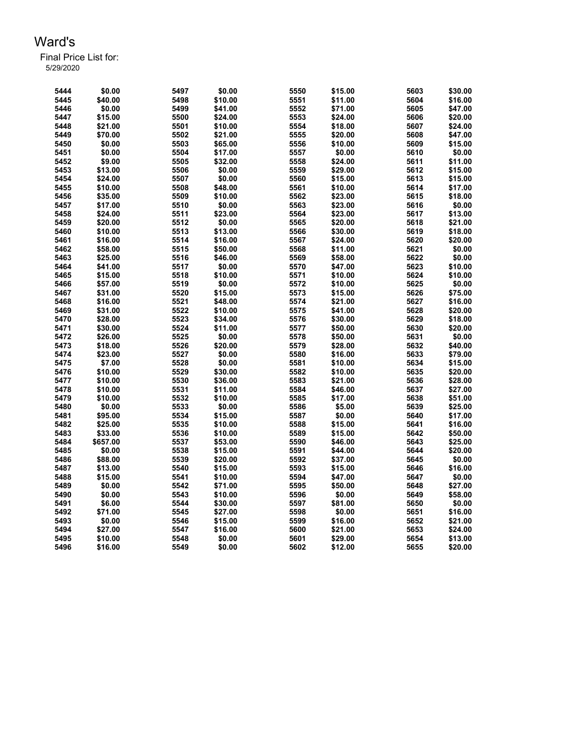| 5444 | \$0.00   | 5497 | \$0.00  | 5550 | \$15.00 | 5603 | \$30.00 |
|------|----------|------|---------|------|---------|------|---------|
| 5445 | \$40.00  | 5498 | \$10.00 | 5551 | \$11.00 | 5604 | \$16.00 |
| 5446 | \$0.00   | 5499 | \$41.00 | 5552 | \$71.00 | 5605 | \$47.00 |
| 5447 | \$15.00  | 5500 | \$24.00 | 5553 | \$24.00 | 5606 | \$20.00 |
| 5448 | \$21.00  | 5501 | \$10.00 | 5554 | \$18.00 | 5607 | \$24.00 |
| 5449 | \$70.00  | 5502 | \$21.00 | 5555 | \$20.00 | 5608 | \$47.00 |
| 5450 | \$0.00   | 5503 | \$65.00 | 5556 | \$10.00 | 5609 | \$15.00 |
| 5451 | \$0.00   | 5504 | \$17.00 | 5557 | \$0.00  | 5610 | \$0.00  |
| 5452 | \$9.00   | 5505 | \$32.00 | 5558 | \$24.00 | 5611 | \$11.00 |
| 5453 | \$13.00  | 5506 | \$0.00  | 5559 | \$29.00 | 5612 | \$15.00 |
| 5454 | \$24.00  | 5507 | \$0.00  | 5560 | \$15.00 | 5613 | \$15.00 |
|      | \$10.00  | 5508 | \$48.00 | 5561 | \$10.00 | 5614 | \$17.00 |
| 5455 | \$35.00  | 5509 | \$10.00 | 5562 |         | 5615 | \$18.00 |
| 5456 |          |      |         |      | \$23.00 |      |         |
| 5457 | \$17.00  | 5510 | \$0.00  | 5563 | \$23.00 | 5616 | \$0.00  |
| 5458 | \$24.00  | 5511 | \$23.00 | 5564 | \$23.00 | 5617 | \$13.00 |
| 5459 | \$20.00  | 5512 | \$0.00  | 5565 | \$20.00 | 5618 | \$21.00 |
| 5460 | \$10.00  | 5513 | \$13.00 | 5566 | \$30.00 | 5619 | \$18.00 |
| 5461 | \$16.00  | 5514 | \$16.00 | 5567 | \$24.00 | 5620 | \$20.00 |
| 5462 | \$58.00  | 5515 | \$50.00 | 5568 | \$11.00 | 5621 | \$0.00  |
| 5463 | \$25.00  | 5516 | \$46.00 | 5569 | \$58.00 | 5622 | \$0.00  |
| 5464 | \$41.00  | 5517 | \$0.00  | 5570 | \$47.00 | 5623 | \$10.00 |
| 5465 | \$15.00  | 5518 | \$10.00 | 5571 | \$10.00 | 5624 | \$10.00 |
| 5466 | \$57.00  | 5519 | \$0.00  | 5572 | \$10.00 | 5625 | \$0.00  |
| 5467 | \$31.00  | 5520 | \$15.00 | 5573 | \$15.00 | 5626 | \$75.00 |
| 5468 | \$16.00  | 5521 | \$48.00 | 5574 | \$21.00 | 5627 | \$16.00 |
| 5469 | \$31.00  | 5522 | \$10.00 | 5575 | \$41.00 | 5628 | \$20.00 |
| 5470 | \$28.00  | 5523 | \$34.00 | 5576 | \$30.00 | 5629 | \$18.00 |
| 5471 | \$30.00  | 5524 | \$11.00 | 5577 | \$50.00 | 5630 | \$20.00 |
| 5472 | \$26.00  | 5525 | \$0.00  | 5578 | \$50.00 | 5631 | \$0.00  |
| 5473 | \$18.00  | 5526 | \$20.00 | 5579 | \$28.00 | 5632 | \$40.00 |
| 5474 | \$23.00  | 5527 | \$0.00  | 5580 | \$16.00 | 5633 | \$79.00 |
| 5475 | \$7.00   | 5528 | \$0.00  | 5581 | \$10.00 | 5634 | \$15.00 |
| 5476 | \$10.00  | 5529 | \$30.00 | 5582 | \$10.00 | 5635 | \$20.00 |
| 5477 | \$10.00  | 5530 | \$36.00 | 5583 | \$21.00 | 5636 | \$28.00 |
| 5478 | \$10.00  | 5531 | \$11.00 | 5584 | \$46.00 | 5637 | \$27.00 |
| 5479 | \$10.00  | 5532 | \$10.00 | 5585 | \$17.00 | 5638 | \$51.00 |
| 5480 | \$0.00   | 5533 | \$0.00  | 5586 | \$5.00  | 5639 | \$25.00 |
| 5481 | \$95.00  | 5534 | \$15.00 | 5587 | \$0.00  | 5640 | \$17.00 |
| 5482 | \$25.00  | 5535 | \$10.00 | 5588 | \$15.00 | 5641 | \$16.00 |
| 5483 | \$33.00  | 5536 | \$10.00 | 5589 | \$15.00 | 5642 | \$50.00 |
| 5484 | \$657.00 | 5537 |         |      | \$46.00 | 5643 |         |
|      |          |      | \$53.00 | 5590 |         |      | \$25.00 |
| 5485 | \$0.00   | 5538 | \$15.00 | 5591 | \$44.00 | 5644 | \$20.00 |
| 5486 | \$88.00  | 5539 | \$20.00 | 5592 | \$37.00 | 5645 | \$0.00  |
| 5487 | \$13.00  | 5540 | \$15.00 | 5593 | \$15.00 | 5646 | \$16.00 |
| 5488 | \$15.00  | 5541 | \$10.00 | 5594 | \$47.00 | 5647 | \$0.00  |
| 5489 | \$0.00   | 5542 | \$71.00 | 5595 | \$50.00 | 5648 | \$27.00 |
| 5490 | \$0.00   | 5543 | \$10.00 | 5596 | \$0.00  | 5649 | \$58.00 |
| 5491 | \$6.00   | 5544 | \$30.00 | 5597 | \$81.00 | 5650 | \$0.00  |
| 5492 | \$71.00  | 5545 | \$27.00 | 5598 | \$0.00  | 5651 | \$16.00 |
| 5493 | \$0.00   | 5546 | \$15.00 | 5599 | \$16.00 | 5652 | \$21.00 |
| 5494 | \$27.00  | 5547 | \$16.00 | 5600 | \$21.00 | 5653 | \$24.00 |
| 5495 | \$10.00  | 5548 | \$0.00  | 5601 | \$29.00 | 5654 | \$13.00 |
| 5496 | \$16.00  | 5549 | \$0.00  | 5602 | \$12.00 | 5655 | \$20.00 |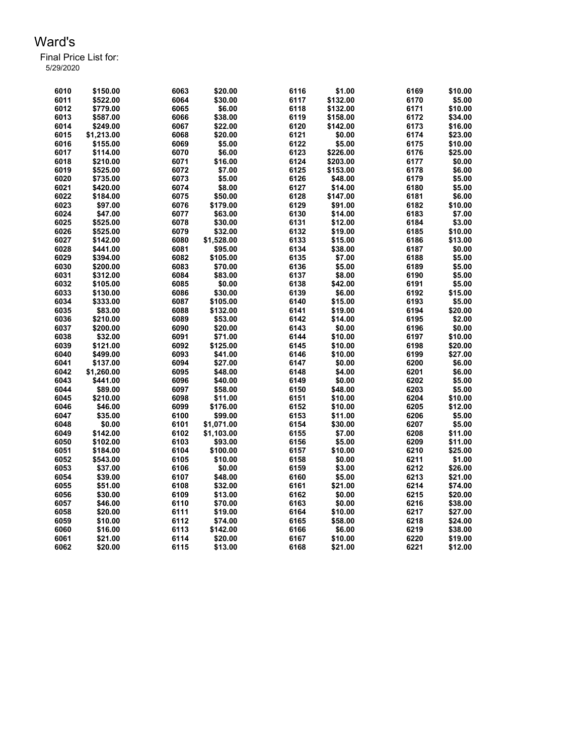| 6010 | \$150.00   | 6063 | \$20.00    | 6116 | \$1.00   | 6169         | \$10.00           |
|------|------------|------|------------|------|----------|--------------|-------------------|
| 6011 | \$522.00   | 6064 | \$30.00    | 6117 | \$132.00 | 6170         | \$5.00            |
| 6012 | \$779.00   | 6065 | \$6.00     | 6118 | \$132.00 | 6171         | \$10.00           |
| 6013 | \$587.00   | 6066 | \$38.00    | 6119 | \$158.00 | 6172         | \$34.00           |
| 6014 | \$249.00   | 6067 | \$22.00    | 6120 | \$142.00 | 6173         | \$16.00           |
| 6015 | \$1,213.00 | 6068 | \$20.00    | 6121 | \$0.00   | 6174         | \$23.00           |
| 6016 | \$155.00   | 6069 | \$5.00     | 6122 | \$5.00   | 6175         | \$10.00           |
| 6017 | \$114.00   | 6070 | \$6.00     | 6123 | \$226.00 | 6176         | \$25.00           |
| 6018 | \$210.00   | 6071 | \$16.00    | 6124 | \$203.00 | 6177         | \$0.00            |
| 6019 | \$525.00   | 6072 | \$7.00     | 6125 | \$153.00 | 6178         | \$6.00            |
| 6020 | \$735.00   | 6073 | \$5.00     | 6126 | \$48.00  | 6179         | \$5.00            |
| 6021 | \$420.00   | 6074 | \$8.00     | 6127 | \$14.00  | 6180         | \$5.00            |
| 6022 | \$184.00   | 6075 | \$50.00    | 6128 | \$147.00 | 6181         | \$6.00            |
| 6023 | \$97.00    | 6076 |            | 6129 |          |              |                   |
| 6024 |            |      | \$179.00   | 6130 | \$91.00  | 6182<br>6183 | \$10.00<br>\$7.00 |
|      | \$47.00    | 6077 | \$63.00    |      | \$14.00  |              |                   |
| 6025 | \$525.00   | 6078 | \$30.00    | 6131 | \$12.00  | 6184         | \$3.00            |
| 6026 | \$525.00   | 6079 | \$32.00    | 6132 | \$19.00  | 6185         | \$10.00           |
| 6027 | \$142.00   | 6080 | \$1,528.00 | 6133 | \$15.00  | 6186         | \$13.00           |
| 6028 | \$441.00   | 6081 | \$95.00    | 6134 | \$38.00  | 6187         | \$0.00            |
| 6029 | \$394.00   | 6082 | \$105.00   | 6135 | \$7.00   | 6188         | \$5.00            |
| 6030 | \$200.00   | 6083 | \$70.00    | 6136 | \$5.00   | 6189         | \$5.00            |
| 6031 | \$312.00   | 6084 | \$83.00    | 6137 | \$8.00   | 6190         | \$5.00            |
| 6032 | \$105.00   | 6085 | \$0.00     | 6138 | \$42.00  | 6191         | \$5.00            |
| 6033 | \$130.00   | 6086 | \$30.00    | 6139 | \$6.00   | 6192         | \$15.00           |
| 6034 | \$333.00   | 6087 | \$105.00   | 6140 | \$15.00  | 6193         | \$5.00            |
| 6035 | \$83.00    | 6088 | \$132.00   | 6141 | \$19.00  | 6194         | \$20.00           |
| 6036 | \$210.00   | 6089 | \$53.00    | 6142 | \$14.00  | 6195         | \$2.00            |
| 6037 | \$200.00   | 6090 | \$20.00    | 6143 | \$0.00   | 6196         | \$0.00            |
| 6038 | \$32.00    | 6091 | \$71.00    | 6144 | \$10.00  | 6197         | \$10.00           |
| 6039 | \$121.00   | 6092 | \$125.00   | 6145 | \$10.00  | 6198         | \$20.00           |
| 6040 | \$499.00   | 6093 | \$41.00    | 6146 | \$10.00  | 6199         | \$27.00           |
| 6041 | \$137.00   | 6094 | \$27.00    | 6147 | \$0.00   | 6200         | \$6.00            |
| 6042 | \$1,260.00 | 6095 | \$48.00    | 6148 | \$4.00   | 6201         | \$6.00            |
| 6043 | \$441.00   | 6096 | \$40.00    | 6149 | \$0.00   | 6202         | \$5.00            |
| 6044 | \$89.00    | 6097 | \$58.00    | 6150 | \$48.00  | 6203         | \$5.00            |
| 6045 | \$210.00   | 6098 | \$11.00    | 6151 | \$10.00  | 6204         | \$10.00           |
| 6046 | \$46.00    | 6099 | \$176.00   | 6152 | \$10.00  | 6205         | \$12.00           |
| 6047 | \$35.00    | 6100 | \$99.00    | 6153 | \$11.00  | 6206         | \$5.00            |
| 6048 | \$0.00     | 6101 | \$1,071.00 | 6154 | \$30.00  | 6207         | \$5.00            |
| 6049 | \$142.00   | 6102 | \$1,103.00 | 6155 | \$7.00   | 6208         | \$11.00           |
| 6050 | \$102.00   | 6103 | \$93.00    | 6156 | \$5.00   | 6209         | \$11.00           |
| 6051 | \$184.00   | 6104 | \$100.00   | 6157 | \$10.00  | 6210         | \$25.00           |
| 6052 | \$543.00   | 6105 | \$10.00    | 6158 | \$0.00   | 6211         | \$1.00            |
| 6053 | \$37.00    | 6106 | \$0.00     | 6159 | \$3.00   | 6212         | \$26.00           |
| 6054 | \$39.00    | 6107 | \$48.00    | 6160 | \$5.00   | 6213         | \$21.00           |
| 6055 | \$51.00    | 6108 | \$32.00    | 6161 | \$21.00  | 6214         | \$74.00           |
| 6056 | \$30.00    | 6109 | \$13.00    | 6162 | \$0.00   | 6215         | \$20.00           |
| 6057 | \$46.00    | 6110 |            | 6163 | \$0.00   | 6216         |                   |
|      |            |      | \$70.00    |      |          |              | \$38.00           |
| 6058 | \$20.00    | 6111 | \$19.00    | 6164 | \$10.00  | 6217         | \$27.00           |
| 6059 | \$10.00    | 6112 | \$74.00    | 6165 | \$58.00  | 6218         | \$24.00           |
| 6060 | \$16.00    | 6113 | \$142.00   | 6166 | \$6.00   | 6219         | \$38.00           |
| 6061 | \$21.00    | 6114 | \$20.00    | 6167 | \$10.00  | 6220         | \$19.00           |
| 6062 | \$20.00    | 6115 | \$13.00    | 6168 | \$21.00  | 6221         | \$12.00           |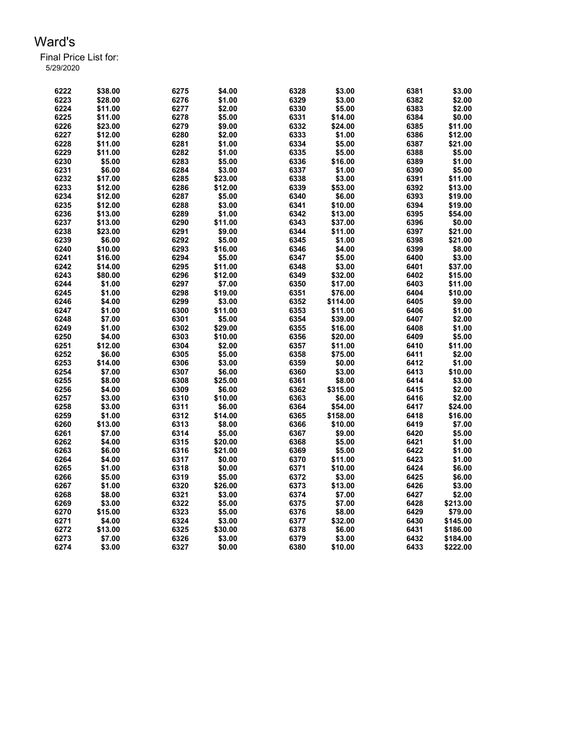| 6222 | \$38.00 | 6275 | \$4.00  | 6328 | \$3.00   | 6381 | \$3.00   |
|------|---------|------|---------|------|----------|------|----------|
| 6223 | \$28.00 | 6276 | \$1.00  | 6329 | \$3.00   | 6382 | \$2.00   |
| 6224 | \$11.00 | 6277 | \$2.00  | 6330 | \$5.00   | 6383 | \$2.00   |
| 6225 | \$11.00 | 6278 | \$5.00  | 6331 | \$14.00  | 6384 | \$0.00   |
| 6226 | \$23.00 | 6279 | \$9.00  | 6332 | \$24.00  | 6385 | \$11.00  |
| 6227 | \$12.00 | 6280 | \$2.00  | 6333 | \$1.00   | 6386 | \$12.00  |
| 6228 | \$11.00 | 6281 | \$1.00  | 6334 | \$5.00   | 6387 | \$21.00  |
| 6229 | \$11.00 | 6282 | \$1.00  | 6335 | \$5.00   | 6388 | \$5.00   |
| 6230 | \$5.00  | 6283 | \$5.00  | 6336 | \$16.00  | 6389 | \$1.00   |
| 6231 | \$6.00  | 6284 | \$3.00  | 6337 | \$1.00   | 6390 | \$5.00   |
| 6232 | \$17.00 | 6285 | \$23.00 | 6338 | \$3.00   | 6391 | \$11.00  |
| 6233 | \$12.00 | 6286 | \$12.00 | 6339 | \$53.00  | 6392 | \$13.00  |
| 6234 | \$12.00 | 6287 | \$5.00  | 6340 | \$6.00   | 6393 | \$19.00  |
| 6235 | \$12.00 | 6288 | \$3.00  | 6341 | \$10.00  | 6394 | \$19.00  |
| 6236 | \$13.00 | 6289 | \$1.00  | 6342 | \$13.00  | 6395 | \$54.00  |
| 6237 | \$13.00 | 6290 | \$11.00 | 6343 | \$37.00  | 6396 | \$0.00   |
| 6238 | \$23.00 | 6291 | \$9.00  | 6344 | \$11.00  | 6397 | \$21.00  |
| 6239 | \$6.00  | 6292 | \$5.00  | 6345 | \$1.00   | 6398 | \$21.00  |
| 6240 | \$10.00 | 6293 | \$16.00 | 6346 | \$4.00   | 6399 | \$8.00   |
| 6241 | \$16.00 | 6294 | \$5.00  | 6347 | \$5.00   | 6400 | \$3.00   |
| 6242 | \$14.00 | 6295 | \$11.00 | 6348 | \$3.00   | 6401 | \$37.00  |
| 6243 | \$80.00 | 6296 | \$12.00 | 6349 | \$32.00  | 6402 | \$15.00  |
| 6244 | \$1.00  | 6297 | \$7.00  | 6350 | \$17.00  | 6403 | \$11.00  |
| 6245 | \$1.00  | 6298 | \$19.00 | 6351 | \$76.00  | 6404 | \$10.00  |
| 6246 | \$4.00  | 6299 | \$3.00  | 6352 | \$114.00 | 6405 | \$9.00   |
| 6247 | \$1.00  | 6300 | \$11.00 | 6353 | \$11.00  | 6406 | \$1.00   |
| 6248 | \$7.00  | 6301 | \$5.00  | 6354 | \$39.00  | 6407 | \$2.00   |
| 6249 | \$1.00  | 6302 | \$29.00 | 6355 | \$16.00  | 6408 | \$1.00   |
| 6250 | \$4.00  | 6303 | \$10.00 | 6356 | \$20.00  | 6409 | \$5.00   |
| 6251 | \$12.00 | 6304 | \$2.00  | 6357 | \$11.00  | 6410 | \$11.00  |
| 6252 | \$6.00  | 6305 | \$5.00  | 6358 | \$75.00  | 6411 | \$2.00   |
| 6253 | \$14.00 | 6306 | \$3.00  | 6359 | \$0.00   | 6412 | \$1.00   |
| 6254 | \$7.00  | 6307 | \$6.00  | 6360 | \$3.00   | 6413 | \$10.00  |
| 6255 | \$8.00  | 6308 | \$25.00 | 6361 | \$8.00   | 6414 | \$3.00   |
| 6256 | \$4.00  | 6309 | \$6.00  | 6362 | \$315.00 | 6415 | \$2.00   |
| 6257 | \$3.00  | 6310 | \$10.00 | 6363 | \$6.00   | 6416 | \$2.00   |
| 6258 | \$3.00  | 6311 | \$6.00  | 6364 | \$54.00  | 6417 | \$24.00  |
| 6259 | \$1.00  | 6312 | \$14.00 | 6365 | \$158.00 | 6418 | \$16.00  |
| 6260 | \$13.00 | 6313 | \$8.00  | 6366 | \$10.00  | 6419 | \$7.00   |
| 6261 | \$7.00  | 6314 | \$5.00  | 6367 | \$9.00   | 6420 | \$5.00   |
| 6262 | \$4.00  | 6315 | \$20.00 | 6368 | \$5.00   | 6421 | \$1.00   |
| 6263 | \$6.00  | 6316 | \$21.00 | 6369 | \$5.00   | 6422 | \$1.00   |
| 6264 | \$4.00  | 6317 | \$0.00  | 6370 | \$11.00  | 6423 | \$1.00   |
| 6265 | \$1.00  | 6318 | \$0.00  | 6371 | \$10.00  | 6424 | \$6.00   |
| 6266 | \$5.00  | 6319 | \$5.00  | 6372 | \$3.00   | 6425 | \$6.00   |
| 6267 | \$1.00  | 6320 | \$26.00 | 6373 | \$13.00  | 6426 | \$3.00   |
| 6268 | \$8.00  | 6321 | \$3.00  | 6374 | \$7.00   | 6427 | \$2.00   |
| 6269 | \$3.00  | 6322 | \$5.00  | 6375 | \$7.00   | 6428 | \$213.00 |
| 6270 | \$15.00 | 6323 | \$5.00  | 6376 | \$8.00   | 6429 | \$79.00  |
| 6271 | \$4.00  | 6324 | \$3.00  | 6377 | \$32.00  | 6430 | \$145.00 |
| 6272 | \$13.00 | 6325 | \$30.00 | 6378 | \$6.00   | 6431 | \$186.00 |
| 6273 | \$7.00  | 6326 | \$3.00  | 6379 | \$3.00   | 6432 | \$184.00 |
| 6274 | \$3.00  | 6327 | \$0.00  | 6380 | \$10.00  | 6433 | \$222.00 |
|      |         |      |         |      |          |      |          |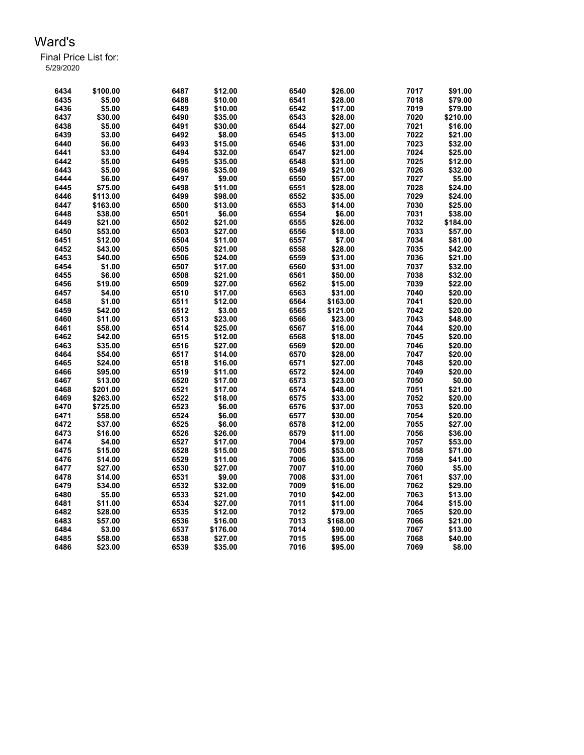| 6434 | \$100.00 | 6487 | \$12.00  | 6540 | \$26.00  | 7017 | \$91.00             |
|------|----------|------|----------|------|----------|------|---------------------|
| 6435 | \$5.00   | 6488 | \$10.00  | 6541 | \$28.00  | 7018 | \$79.00             |
| 6436 | \$5.00   | 6489 | \$10.00  | 6542 | \$17.00  | 7019 | \$79.00             |
| 6437 | \$30.00  | 6490 | \$35.00  | 6543 | \$28.00  | 7020 | \$210.00            |
| 6438 | \$5.00   | 6491 | \$30.00  | 6544 | \$27.00  | 7021 | \$16.00             |
| 6439 | \$3.00   | 6492 | \$8.00   | 6545 | \$13.00  | 7022 | \$21.00             |
| 6440 | \$6.00   | 6493 | \$15.00  | 6546 | \$31.00  | 7023 | \$32.00             |
| 6441 | \$3.00   | 6494 | \$32.00  | 6547 | \$21.00  | 7024 | \$25.00             |
| 6442 | \$5.00   | 6495 | \$35.00  | 6548 | \$31.00  | 7025 | \$12.00             |
| 6443 | \$5.00   | 6496 | \$35.00  | 6549 | \$21.00  | 7026 | \$32.00             |
| 6444 | \$6.00   | 6497 | \$9.00   | 6550 | \$57.00  | 7027 | \$5.00              |
| 6445 | \$75.00  | 6498 | \$11.00  | 6551 | \$28.00  | 7028 | \$24.00             |
| 6446 | \$113.00 | 6499 | \$98.00  | 6552 | \$35.00  | 7029 | \$24.00             |
| 6447 | \$163.00 | 6500 | \$13.00  | 6553 | \$14.00  | 7030 | \$25.00             |
| 6448 | \$38.00  | 6501 | \$6.00   | 6554 | \$6.00   | 7031 | \$38.00             |
| 6449 | \$21.00  | 6502 | \$21.00  | 6555 | \$26.00  | 7032 |                     |
| 6450 | \$53.00  | 6503 |          | 6556 | \$18.00  | 7033 | \$184.00<br>\$57.00 |
|      |          |      | \$27.00  | 6557 |          | 7034 |                     |
| 6451 | \$12.00  | 6504 | \$11.00  |      | \$7.00   | 7035 | \$81.00             |
| 6452 | \$43.00  | 6505 | \$21.00  | 6558 | \$28.00  |      | \$42.00             |
| 6453 | \$40.00  | 6506 | \$24.00  | 6559 | \$31.00  | 7036 | \$21.00             |
| 6454 | \$1.00   | 6507 | \$17.00  | 6560 | \$31.00  | 7037 | \$32.00             |
| 6455 | \$6.00   | 6508 | \$21.00  | 6561 | \$50.00  | 7038 | \$32.00             |
| 6456 | \$19.00  | 6509 | \$27.00  | 6562 | \$15.00  | 7039 | \$22.00             |
| 6457 | \$4.00   | 6510 | \$17.00  | 6563 | \$31.00  | 7040 | \$20.00             |
| 6458 | \$1.00   | 6511 | \$12.00  | 6564 | \$163.00 | 7041 | \$20.00             |
| 6459 | \$42.00  | 6512 | \$3.00   | 6565 | \$121.00 | 7042 | \$20.00             |
| 6460 | \$11.00  | 6513 | \$23.00  | 6566 | \$23.00  | 7043 | \$48.00             |
| 6461 | \$58.00  | 6514 | \$25.00  | 6567 | \$16.00  | 7044 | \$20.00             |
| 6462 | \$42.00  | 6515 | \$12.00  | 6568 | \$18.00  | 7045 | \$20.00             |
| 6463 | \$35.00  | 6516 | \$27.00  | 6569 | \$20.00  | 7046 | \$20.00             |
| 6464 | \$54.00  | 6517 | \$14.00  | 6570 | \$28.00  | 7047 | \$20.00             |
| 6465 | \$24.00  | 6518 | \$16.00  | 6571 | \$27.00  | 7048 | \$20.00             |
| 6466 | \$95.00  | 6519 | \$11.00  | 6572 | \$24.00  | 7049 | \$20.00             |
| 6467 | \$13.00  | 6520 | \$17.00  | 6573 | \$23.00  | 7050 | \$0.00              |
| 6468 | \$201.00 | 6521 | \$17.00  | 6574 | \$48.00  | 7051 | \$21.00             |
| 6469 | \$263.00 | 6522 | \$18.00  | 6575 | \$33.00  | 7052 | \$20.00             |
| 6470 | \$725.00 | 6523 | \$6.00   | 6576 | \$37.00  | 7053 | \$20.00             |
| 6471 | \$58.00  | 6524 | \$6.00   | 6577 | \$30.00  | 7054 | \$20.00             |
| 6472 | \$37.00  | 6525 | \$6.00   | 6578 | \$12.00  | 7055 | \$27.00             |
| 6473 | \$16.00  | 6526 | \$26.00  | 6579 | \$11.00  | 7056 | \$36.00             |
| 6474 | \$4.00   | 6527 | \$17.00  | 7004 | \$79.00  | 7057 | \$53.00             |
| 6475 | \$15.00  | 6528 | \$15.00  | 7005 | \$53.00  | 7058 | \$71.00             |
| 6476 | \$14.00  | 6529 | \$11.00  | 7006 | \$35.00  | 7059 | \$41.00             |
| 6477 | \$27.00  | 6530 | \$27.00  | 7007 | \$10.00  | 7060 | \$5.00              |
| 6478 | \$14.00  | 6531 | \$9.00   | 7008 | \$31.00  | 7061 | \$37.00             |
| 6479 | \$34.00  | 6532 | \$32.00  | 7009 | \$16.00  | 7062 | \$29.00             |
| 6480 | \$5.00   | 6533 | \$21.00  | 7010 | \$42.00  | 7063 | \$13.00             |
| 6481 | \$11.00  | 6534 | \$27.00  | 7011 | \$11.00  | 7064 | \$15.00             |
| 6482 | \$28.00  | 6535 | \$12.00  | 7012 | \$79.00  | 7065 | \$20.00             |
| 6483 | \$57.00  | 6536 | \$16.00  | 7013 | \$168.00 | 7066 | \$21.00             |
| 6484 | \$3.00   | 6537 | \$176.00 | 7014 | \$90.00  | 7067 | \$13.00             |
| 6485 | \$58.00  | 6538 | \$27.00  | 7015 | \$95.00  | 7068 | \$40.00             |
| 6486 | \$23.00  | 6539 | \$35.00  | 7016 | \$95.00  | 7069 | \$8.00              |
|      |          |      |          |      |          |      |                     |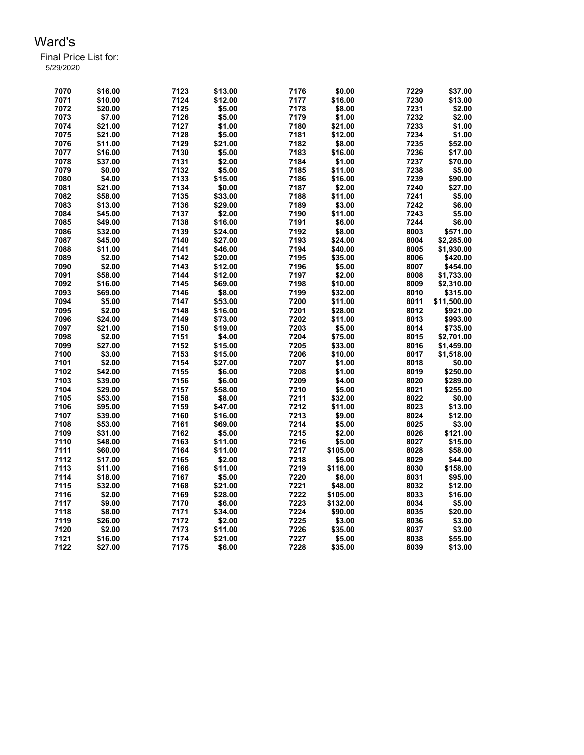| 7070 | \$16.00 | 7123 | \$13.00 | 7176 | \$0.00   | 7229 | \$37.00     |
|------|---------|------|---------|------|----------|------|-------------|
| 7071 | \$10.00 | 7124 | \$12.00 | 7177 | \$16.00  | 7230 | \$13.00     |
| 7072 | \$20.00 | 7125 | \$5.00  | 7178 | \$8.00   | 7231 | \$2.00      |
| 7073 | \$7.00  | 7126 | \$5.00  | 7179 | \$1.00   | 7232 | \$2.00      |
| 7074 | \$21.00 | 7127 | \$1.00  | 7180 | \$21.00  | 7233 | \$1.00      |
| 7075 | \$21.00 | 7128 | \$5.00  | 7181 | \$12.00  | 7234 | \$1.00      |
| 7076 | \$11.00 | 7129 | \$21.00 | 7182 | \$8.00   | 7235 | \$52.00     |
| 7077 | \$16.00 | 7130 | \$5.00  | 7183 | \$16.00  | 7236 | \$17.00     |
| 7078 | \$37.00 | 7131 | \$2.00  | 7184 | \$1.00   | 7237 | \$70.00     |
| 7079 | \$0.00  | 7132 | \$5.00  | 7185 | \$11.00  | 7238 | \$5.00      |
| 7080 | \$4.00  | 7133 | \$15.00 | 7186 | \$16.00  | 7239 | \$90.00     |
| 7081 | \$21.00 | 7134 | \$0.00  | 7187 | \$2.00   | 7240 | \$27.00     |
| 7082 | \$58.00 | 7135 | \$33.00 | 7188 | \$11.00  | 7241 | \$5.00      |
| 7083 | \$13.00 | 7136 | \$29.00 | 7189 | \$3.00   | 7242 | \$6.00      |
| 7084 | \$45.00 | 7137 | \$2.00  | 7190 | \$11.00  | 7243 | \$5.00      |
| 7085 | \$49.00 | 7138 | \$16.00 | 7191 | \$6.00   | 7244 | \$6.00      |
| 7086 | \$32.00 | 7139 | \$24.00 | 7192 | \$8.00   | 8003 | \$571.00    |
| 7087 | \$45.00 | 7140 | \$27.00 | 7193 | \$24.00  | 8004 | \$2,285.00  |
| 7088 | \$11.00 | 7141 | \$46.00 | 7194 | \$40.00  | 8005 | \$1,930.00  |
| 7089 | \$2.00  | 7142 | \$20.00 | 7195 | \$35.00  | 8006 | \$420.00    |
| 7090 | \$2.00  | 7143 |         | 7196 |          | 8007 |             |
|      |         |      | \$12.00 |      | \$5.00   |      | \$454.00    |
| 7091 | \$58.00 | 7144 | \$12.00 | 7197 | \$2.00   | 8008 | \$1,733.00  |
| 7092 | \$16.00 | 7145 | \$69.00 | 7198 | \$10.00  | 8009 | \$2,310.00  |
| 7093 | \$69.00 | 7146 | \$8.00  | 7199 | \$32.00  | 8010 | \$315.00    |
| 7094 | \$5.00  | 7147 | \$53.00 | 7200 | \$11.00  | 8011 | \$11,500.00 |
| 7095 | \$2.00  | 7148 | \$16.00 | 7201 | \$28.00  | 8012 | \$921.00    |
| 7096 | \$24.00 | 7149 | \$73.00 | 7202 | \$11.00  | 8013 | \$993.00    |
| 7097 | \$21.00 | 7150 | \$19.00 | 7203 | \$5.00   | 8014 | \$735.00    |
| 7098 | \$2.00  | 7151 | \$4.00  | 7204 | \$75.00  | 8015 | \$2,701.00  |
| 7099 | \$27.00 | 7152 | \$15.00 | 7205 | \$33.00  | 8016 | \$1,459.00  |
| 7100 | \$3.00  | 7153 | \$15.00 | 7206 | \$10.00  | 8017 | \$1,518.00  |
| 7101 | \$2.00  | 7154 | \$27.00 | 7207 | \$1.00   | 8018 | \$0.00      |
| 7102 | \$42.00 | 7155 | \$6.00  | 7208 | \$1.00   | 8019 | \$250.00    |
| 7103 | \$39.00 | 7156 | \$6.00  | 7209 | \$4.00   | 8020 | \$289.00    |
| 7104 | \$29.00 | 7157 | \$58.00 | 7210 | \$5.00   | 8021 | \$255.00    |
| 7105 | \$53.00 | 7158 | \$8.00  | 7211 | \$32.00  | 8022 | \$0.00      |
| 7106 | \$95.00 | 7159 | \$47.00 | 7212 | \$11.00  | 8023 | \$13.00     |
| 7107 | \$39.00 | 7160 | \$16.00 | 7213 | \$9.00   | 8024 | \$12.00     |
| 7108 | \$53.00 | 7161 | \$69.00 | 7214 | \$5.00   | 8025 | \$3.00      |
| 7109 | \$31.00 | 7162 | \$5.00  | 7215 | \$2.00   | 8026 | \$121.00    |
| 7110 | \$48.00 | 7163 | \$11.00 | 7216 | \$5.00   | 8027 | \$15.00     |
| 7111 | \$60.00 | 7164 | \$11.00 | 7217 | \$105.00 | 8028 | \$58.00     |
| 7112 | \$17.00 | 7165 | \$2.00  | 7218 | \$5.00   | 8029 | \$44.00     |
| 7113 | \$11.00 | 7166 | \$11.00 | 7219 | \$116.00 | 8030 | \$158.00    |
| 7114 | \$18.00 | 7167 | \$5.00  | 7220 | \$6.00   | 8031 | \$95.00     |
| 7115 | \$32.00 | 7168 | \$21.00 | 7221 | \$48.00  | 8032 | \$12.00     |
| 7116 | \$2.00  | 7169 | \$28.00 | 7222 | \$105.00 | 8033 | \$16.00     |
| 7117 | \$9.00  | 7170 | \$6.00  | 7223 | \$132.00 | 8034 | \$5.00      |
| 7118 | \$8.00  | 7171 | \$34.00 | 7224 | \$90.00  | 8035 | \$20.00     |
| 7119 | \$26.00 | 7172 | \$2.00  | 7225 | \$3.00   | 8036 | \$3.00      |
| 7120 | \$2.00  | 7173 | \$11.00 | 7226 | \$35.00  | 8037 | \$3.00      |
| 7121 | \$16.00 | 7174 | \$21.00 | 7227 | \$5.00   | 8038 | \$55.00     |
| 7122 | \$27.00 | 7175 | \$6.00  | 7228 | \$35.00  | 8039 | \$13.00     |
|      |         |      |         |      |          |      |             |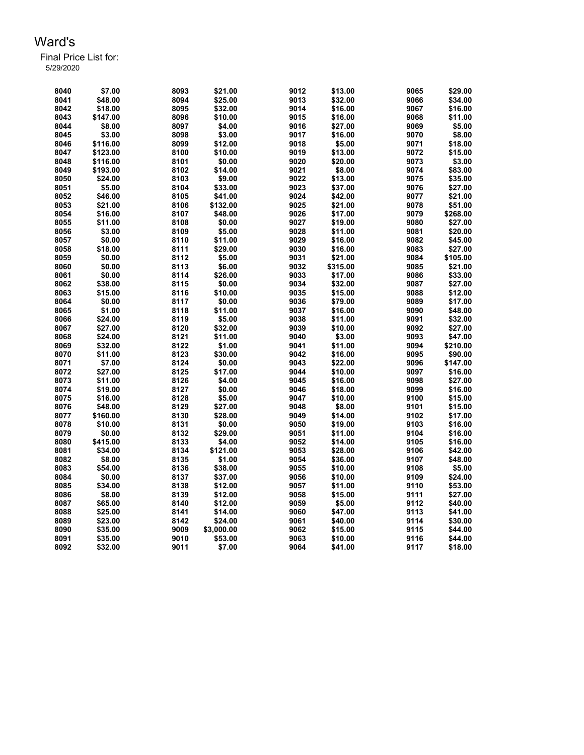| 8040 | \$7.00   | 8093 | \$21.00    | 9012 | \$13.00  | 9065 | \$29.00  |
|------|----------|------|------------|------|----------|------|----------|
| 8041 | \$48.00  | 8094 | \$25.00    | 9013 | \$32.00  | 9066 | \$34.00  |
| 8042 | \$18.00  | 8095 | \$32.00    | 9014 | \$16.00  | 9067 | \$16.00  |
| 8043 | \$147.00 | 8096 | \$10.00    | 9015 | \$16.00  | 9068 | \$11.00  |
| 8044 | \$8.00   | 8097 | \$4.00     | 9016 | \$27.00  | 9069 | \$5.00   |
| 8045 | \$3.00   | 8098 | \$3.00     | 9017 | \$16.00  | 9070 | \$8.00   |
| 8046 | \$116.00 | 8099 | \$12.00    | 9018 | \$5.00   | 9071 | \$18.00  |
| 8047 | \$123.00 | 8100 | \$10.00    | 9019 | \$13.00  | 9072 | \$15.00  |
| 8048 | \$116.00 | 8101 | \$0.00     | 9020 | \$20.00  | 9073 | \$3.00   |
| 8049 | \$193.00 | 8102 | \$14.00    | 9021 | \$8.00   | 9074 | \$83.00  |
| 8050 | \$24.00  | 8103 | \$9.00     | 9022 | \$13.00  | 9075 | \$35.00  |
| 8051 | \$5.00   | 8104 | \$33.00    | 9023 | \$37.00  | 9076 | \$27.00  |
| 8052 | \$46.00  | 8105 | \$41.00    | 9024 | \$42.00  | 9077 | \$21.00  |
| 8053 | \$21.00  | 8106 | \$132.00   | 9025 | \$21.00  | 9078 | \$51.00  |
| 8054 | \$16.00  | 8107 | \$48.00    | 9026 | \$17.00  | 9079 | \$268.00 |
| 8055 | \$11.00  | 8108 | \$0.00     | 9027 | \$19.00  | 9080 | \$27.00  |
| 8056 | \$3.00   | 8109 | \$5.00     | 9028 | \$11.00  | 9081 | \$20.00  |
| 8057 | \$0.00   | 8110 | \$11.00    | 9029 | \$16.00  | 9082 | \$45.00  |
| 8058 | \$18.00  | 8111 | \$29.00    | 9030 | \$16.00  | 9083 | \$27.00  |
| 8059 | \$0.00   | 8112 | \$5.00     | 9031 | \$21.00  | 9084 | \$105.00 |
| 8060 | \$0.00   | 8113 | \$6.00     | 9032 | \$315.00 | 9085 | \$21.00  |
| 8061 | \$0.00   | 8114 | \$26.00    | 9033 | \$17.00  | 9086 | \$33.00  |
| 8062 | \$38.00  | 8115 | \$0.00     | 9034 | \$32.00  | 9087 | \$27.00  |
| 8063 | \$15.00  | 8116 | \$10.00    | 9035 | \$15.00  | 9088 | \$12.00  |
| 8064 | \$0.00   | 8117 | \$0.00     | 9036 | \$79.00  | 9089 | \$17.00  |
| 8065 | \$1.00   | 8118 | \$11.00    | 9037 | \$16.00  | 9090 | \$48.00  |
| 8066 | \$24.00  | 8119 | \$5.00     | 9038 | \$11.00  | 9091 | \$32.00  |
| 8067 | \$27.00  | 8120 | \$32.00    | 9039 | \$10.00  | 9092 | \$27.00  |
| 8068 | \$24.00  | 8121 | \$11.00    | 9040 | \$3.00   | 9093 | \$47.00  |
| 8069 | \$32.00  | 8122 | \$1.00     | 9041 | \$11.00  | 9094 | \$210.00 |
| 8070 | \$11.00  | 8123 | \$30.00    | 9042 | \$16.00  | 9095 | \$90.00  |
| 8071 | \$7.00   | 8124 | \$0.00     | 9043 | \$22.00  | 9096 | \$147.00 |
| 8072 | \$27.00  | 8125 | \$17.00    | 9044 | \$10.00  | 9097 | \$16.00  |
| 8073 | \$11.00  | 8126 | \$4.00     | 9045 | \$16.00  | 9098 | \$27.00  |
| 8074 | \$19.00  | 8127 | \$0.00     | 9046 | \$18.00  | 9099 | \$16.00  |
| 8075 | \$16.00  | 8128 | \$5.00     | 9047 | \$10.00  | 9100 | \$15.00  |
| 8076 | \$48.00  | 8129 | \$27.00    | 9048 | \$8.00   | 9101 | \$15.00  |
| 8077 | \$160.00 | 8130 | \$28.00    | 9049 | \$14.00  | 9102 | \$17.00  |
| 8078 | \$10.00  | 8131 | \$0.00     | 9050 | \$19.00  | 9103 | \$16.00  |
| 8079 | \$0.00   | 8132 | \$29.00    | 9051 | \$11.00  | 9104 | \$16.00  |
| 8080 | \$415.00 | 8133 | \$4.00     | 9052 | \$14.00  | 9105 | \$16.00  |
| 8081 | \$34.00  | 8134 | \$121.00   | 9053 | \$28.00  | 9106 | \$42.00  |
| 8082 | \$8.00   | 8135 | \$1.00     | 9054 | \$36.00  | 9107 | \$48.00  |
| 8083 | \$54.00  | 8136 | \$38.00    | 9055 | \$10.00  | 9108 | \$5.00   |
| 8084 | \$0.00   | 8137 | \$37.00    | 9056 | \$10.00  | 9109 | \$24.00  |
| 8085 | \$34.00  | 8138 | \$12.00    | 9057 | \$11.00  | 9110 | \$53.00  |
| 8086 | \$8.00   | 8139 | \$12.00    | 9058 | \$15.00  | 9111 | \$27.00  |
| 8087 | \$65.00  | 8140 | \$12.00    | 9059 | \$5.00   | 9112 | \$40.00  |
| 8088 | \$25.00  | 8141 | \$14.00    | 9060 | \$47.00  | 9113 | \$41.00  |
| 8089 | \$23.00  | 8142 | \$24.00    | 9061 | \$40.00  | 9114 | \$30.00  |
| 8090 | \$35.00  | 9009 | \$3,000.00 | 9062 | \$15.00  | 9115 | \$44.00  |
| 8091 | \$35.00  | 9010 | \$53.00    | 9063 | \$10.00  | 9116 | \$44.00  |
| 8092 | \$32.00  | 9011 | \$7.00     | 9064 | \$41.00  | 9117 | \$18.00  |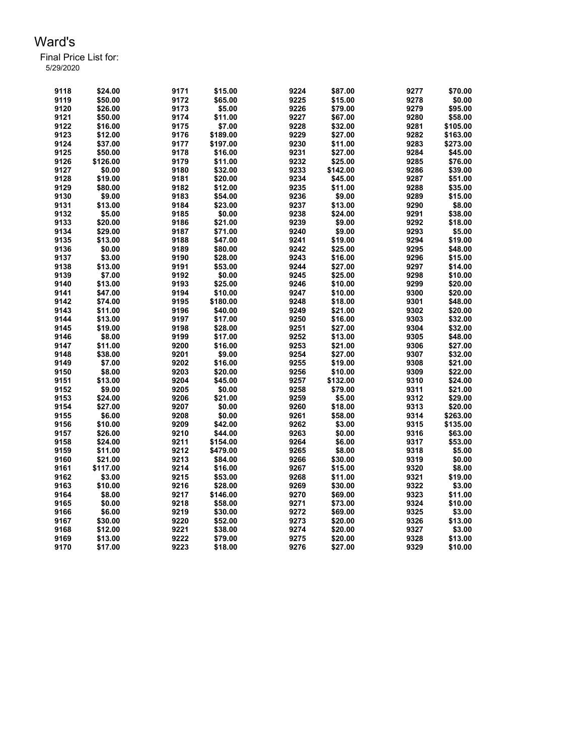| 9118 | \$24.00  | 9171 | \$15.00  | 9224 | \$87.00  | 9277 | \$70.00  |
|------|----------|------|----------|------|----------|------|----------|
| 9119 | \$50.00  | 9172 | \$65.00  | 9225 | \$15.00  | 9278 | \$0.00   |
| 9120 | \$26.00  | 9173 | \$5.00   | 9226 | \$79.00  | 9279 | \$95.00  |
| 9121 | \$50.00  | 9174 | \$11.00  | 9227 | \$67.00  | 9280 | \$58.00  |
| 9122 | \$16.00  | 9175 | \$7.00   | 9228 | \$32.00  | 9281 | \$105.00 |
| 9123 | \$12.00  | 9176 | \$189.00 | 9229 | \$27.00  | 9282 | \$163.00 |
| 9124 | \$37.00  | 9177 | \$197.00 | 9230 | \$11.00  | 9283 | \$273.00 |
| 9125 | \$50.00  | 9178 | \$16.00  | 9231 | \$27.00  | 9284 | \$45.00  |
| 9126 | \$126.00 | 9179 | \$11.00  | 9232 | \$25.00  | 9285 | \$76.00  |
| 9127 | \$0.00   | 9180 | \$32.00  | 9233 | \$142.00 | 9286 | \$39.00  |
| 9128 | \$19.00  | 9181 | \$20.00  | 9234 | \$45.00  | 9287 | \$51.00  |
| 9129 | \$80.00  | 9182 | \$12.00  | 9235 | \$11.00  | 9288 | \$35.00  |
| 9130 | \$9.00   | 9183 | \$54.00  | 9236 | \$9.00   | 9289 | \$15.00  |
| 9131 | \$13.00  | 9184 | \$23.00  | 9237 | \$13.00  | 9290 | \$8.00   |
| 9132 | \$5.00   | 9185 | \$0.00   | 9238 | \$24.00  | 9291 | \$38.00  |
| 9133 | \$20.00  | 9186 | \$21.00  | 9239 | \$9.00   | 9292 | \$18.00  |
| 9134 | \$29.00  | 9187 | \$71.00  | 9240 | \$9.00   | 9293 | \$5.00   |
| 9135 | \$13.00  | 9188 | \$47.00  | 9241 | \$19.00  | 9294 | \$19.00  |
| 9136 | \$0.00   | 9189 | \$80.00  | 9242 | \$25.00  | 9295 | \$48.00  |
| 9137 | \$3.00   | 9190 | \$28.00  | 9243 | \$16.00  | 9296 | \$15.00  |
| 9138 | \$13.00  | 9191 | \$53.00  | 9244 | \$27.00  | 9297 | \$14.00  |
| 9139 | \$7.00   | 9192 | \$0.00   | 9245 | \$25.00  | 9298 | \$10.00  |
| 9140 | \$13.00  | 9193 | \$25.00  | 9246 | \$10.00  | 9299 | \$20.00  |
| 9141 | \$47.00  | 9194 | \$10.00  | 9247 | \$10.00  | 9300 | \$20.00  |
| 9142 | \$74.00  | 9195 | \$180.00 | 9248 | \$18.00  | 9301 | \$48.00  |
| 9143 | \$11.00  | 9196 | \$40.00  | 9249 | \$21.00  | 9302 | \$20.00  |
| 9144 | \$13.00  | 9197 | \$17.00  | 9250 | \$16.00  | 9303 | \$32.00  |
| 9145 | \$19.00  | 9198 | \$28.00  | 9251 | \$27.00  | 9304 | \$32.00  |
| 9146 | \$8.00   | 9199 | \$17.00  | 9252 | \$13.00  | 9305 | \$48.00  |
| 9147 | \$11.00  | 9200 | \$16.00  | 9253 | \$21.00  | 9306 | \$27.00  |
| 9148 | \$38.00  | 9201 | \$9.00   | 9254 | \$27.00  | 9307 | \$32.00  |
| 9149 | \$7.00   | 9202 | \$16.00  | 9255 | \$19.00  | 9308 | \$21.00  |
| 9150 | \$8.00   | 9203 | \$20.00  | 9256 | \$10.00  | 9309 | \$22.00  |
| 9151 | \$13.00  | 9204 | \$45.00  | 9257 | \$132.00 | 9310 | \$24.00  |
| 9152 | \$9.00   | 9205 | \$0.00   | 9258 | \$79.00  | 9311 | \$21.00  |
| 9153 | \$24.00  | 9206 | \$21.00  | 9259 | \$5.00   | 9312 | \$29.00  |
| 9154 | \$27.00  | 9207 | \$0.00   | 9260 | \$18.00  | 9313 | \$20.00  |
| 9155 | \$6.00   | 9208 | \$0.00   | 9261 | \$58.00  | 9314 | \$263.00 |
| 9156 | \$10.00  | 9209 | \$42.00  | 9262 | \$3.00   | 9315 | \$135.00 |
| 9157 | \$26.00  | 9210 | \$44.00  | 9263 | \$0.00   | 9316 | \$63.00  |
| 9158 | \$24.00  | 9211 | \$154.00 | 9264 | \$6.00   | 9317 | \$53.00  |
| 9159 | \$11.00  | 9212 | \$479.00 | 9265 | \$8.00   | 9318 | \$5.00   |
| 9160 | \$21.00  | 9213 | \$84.00  | 9266 | \$30.00  | 9319 | \$0.00   |
| 9161 | \$117.00 | 9214 | \$16.00  | 9267 | \$15.00  | 9320 | \$8.00   |
| 9162 | \$3.00   | 9215 | \$53.00  | 9268 | \$11.00  | 9321 | \$19.00  |
| 9163 | \$10.00  | 9216 | \$28.00  | 9269 | \$30.00  | 9322 | \$3.00   |
| 9164 | \$8.00   | 9217 | \$146.00 | 9270 | \$69.00  | 9323 | \$11.00  |
| 9165 | \$0.00   | 9218 | \$58.00  | 9271 | \$73.00  | 9324 | \$10.00  |
| 9166 | \$6.00   | 9219 | \$30.00  | 9272 | \$69.00  | 9325 | \$3.00   |
| 9167 | \$30.00  | 9220 | \$52.00  | 9273 | \$20.00  | 9326 | \$13.00  |
| 9168 | \$12.00  | 9221 | \$38.00  | 9274 | \$20.00  | 9327 | \$3.00   |
| 9169 | \$13.00  | 9222 | \$79.00  | 9275 | \$20.00  | 9328 | \$13.00  |
| 9170 | \$17.00  | 9223 | \$18.00  | 9276 | \$27.00  | 9329 | \$10.00  |
|      |          |      |          |      |          |      |          |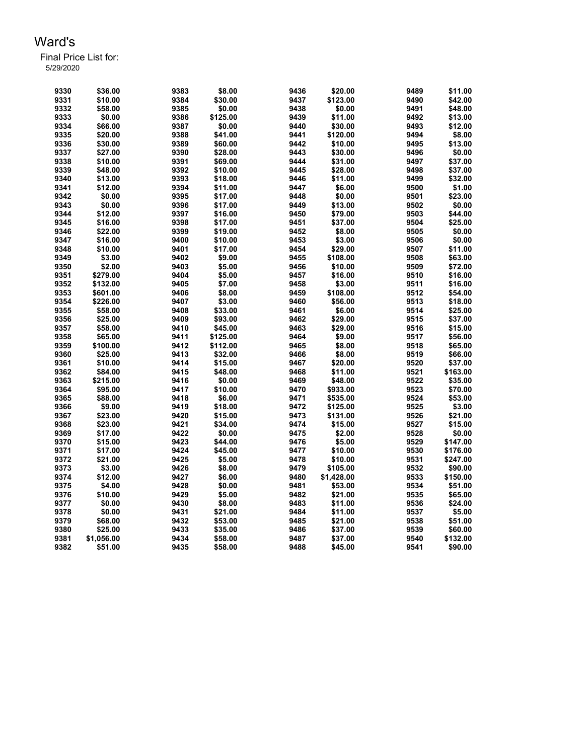| 9330 | \$36.00            | 9383 | \$8.00   | 9436 | \$20.00    | 9489 | \$11.00  |
|------|--------------------|------|----------|------|------------|------|----------|
| 9331 | \$10.00            | 9384 | \$30.00  | 9437 | \$123.00   | 9490 | \$42.00  |
| 9332 | \$58.00            | 9385 | \$0.00   | 9438 | \$0.00     | 9491 | \$48.00  |
| 9333 | \$0.00             | 9386 | \$125.00 | 9439 | \$11.00    | 9492 | \$13.00  |
| 9334 | \$66.00            | 9387 | \$0.00   | 9440 | \$30.00    | 9493 | \$12.00  |
| 9335 | \$20.00            | 9388 | \$41.00  | 9441 | \$120.00   | 9494 | \$8.00   |
| 9336 | \$30.00            | 9389 | \$60.00  | 9442 | \$10.00    | 9495 | \$13.00  |
| 9337 | \$27.00            | 9390 | \$28.00  | 9443 | \$30.00    | 9496 | \$0.00   |
| 9338 | \$10.00            | 9391 | \$69.00  | 9444 | \$31.00    | 9497 | \$37.00  |
| 9339 | \$48.00            | 9392 | \$10.00  | 9445 | \$28.00    | 9498 | \$37.00  |
| 9340 | \$13.00            | 9393 | \$18.00  | 9446 | \$11.00    | 9499 | \$32.00  |
| 9341 | \$12.00            | 9394 | \$11.00  | 9447 | \$6.00     | 9500 | \$1.00   |
| 9342 | \$0.00             | 9395 | \$17.00  | 9448 | \$0.00     | 9501 | \$23.00  |
| 9343 | \$0.00             | 9396 | \$17.00  | 9449 | \$13.00    | 9502 | \$0.00   |
| 9344 | \$12.00            | 9397 | \$16.00  | 9450 | \$79.00    | 9503 | \$44.00  |
| 9345 | \$16.00            | 9398 | \$17.00  | 9451 | \$37.00    | 9504 | \$25.00  |
| 9346 | \$22.00            | 9399 | \$19.00  | 9452 | \$8.00     | 9505 | \$0.00   |
| 9347 | \$16.00            | 9400 | \$10.00  | 9453 | \$3.00     | 9506 | \$0.00   |
| 9348 | \$10.00            | 9401 | \$17.00  | 9454 | \$29.00    | 9507 | \$11.00  |
| 9349 | \$3.00             | 9402 | \$9.00   | 9455 | \$108.00   | 9508 | \$63.00  |
| 9350 |                    | 9403 | \$5.00   | 9456 | \$10.00    | 9509 | \$72.00  |
| 9351 | \$2.00<br>\$279.00 | 9404 | \$5.00   | 9457 | \$16.00    | 9510 | \$16.00  |
|      |                    |      |          |      | \$3.00     |      |          |
| 9352 | \$132.00           | 9405 | \$7.00   | 9458 |            | 9511 | \$16.00  |
| 9353 | \$601.00           | 9406 | \$8.00   | 9459 | \$108.00   | 9512 | \$54.00  |
| 9354 | \$226.00           | 9407 | \$3.00   | 9460 | \$56.00    | 9513 | \$18.00  |
| 9355 | \$58.00            | 9408 | \$33.00  | 9461 | \$6.00     | 9514 | \$25.00  |
| 9356 | \$25.00            | 9409 | \$93.00  | 9462 | \$29.00    | 9515 | \$37.00  |
| 9357 | \$58.00            | 9410 | \$45.00  | 9463 | \$29.00    | 9516 | \$15.00  |
| 9358 | \$65.00            | 9411 | \$125.00 | 9464 | \$9.00     | 9517 | \$56.00  |
| 9359 | \$100.00           | 9412 | \$112.00 | 9465 | \$8.00     | 9518 | \$65.00  |
| 9360 | \$25.00            | 9413 | \$32.00  | 9466 | \$8.00     | 9519 | \$66.00  |
| 9361 | \$10.00            | 9414 | \$15.00  | 9467 | \$20.00    | 9520 | \$37.00  |
| 9362 | \$84.00            | 9415 | \$48.00  | 9468 | \$11.00    | 9521 | \$163.00 |
| 9363 | \$215.00           | 9416 | \$0.00   | 9469 | \$48.00    | 9522 | \$35.00  |
| 9364 | \$95.00            | 9417 | \$10.00  | 9470 | \$933.00   | 9523 | \$70.00  |
| 9365 | \$88.00            | 9418 | \$6.00   | 9471 | \$535.00   | 9524 | \$53.00  |
| 9366 | \$9.00             | 9419 | \$18.00  | 9472 | \$125.00   | 9525 | \$3.00   |
| 9367 | \$23.00            | 9420 | \$15.00  | 9473 | \$131.00   | 9526 | \$21.00  |
| 9368 | \$23.00            | 9421 | \$34.00  | 9474 | \$15.00    | 9527 | \$15.00  |
| 9369 | \$17.00            | 9422 | \$0.00   | 9475 | \$2.00     | 9528 | \$0.00   |
| 9370 | \$15.00            | 9423 | \$44.00  | 9476 | \$5.00     | 9529 | \$147.00 |
| 9371 | \$17.00            | 9424 | \$45.00  | 9477 | \$10.00    | 9530 | \$176.00 |
| 9372 | \$21.00            | 9425 | \$5.00   | 9478 | \$10.00    | 9531 | \$247.00 |
| 9373 | \$3.00             | 9426 | \$8.00   | 9479 | \$105.00   | 9532 | \$90.00  |
| 9374 | \$12.00            | 9427 | \$6.00   | 9480 | \$1,428.00 | 9533 | \$150.00 |
| 9375 | \$4.00             | 9428 | \$0.00   | 9481 | \$53.00    | 9534 | \$51.00  |
| 9376 | \$10.00            | 9429 | \$5.00   | 9482 | \$21.00    | 9535 | \$65.00  |
| 9377 | \$0.00             | 9430 | \$8.00   | 9483 | \$11.00    | 9536 | \$24.00  |
| 9378 | \$0.00             | 9431 | \$21.00  | 9484 | \$11.00    | 9537 | \$5.00   |
| 9379 | \$68.00            | 9432 | \$53.00  | 9485 | \$21.00    | 9538 | \$51.00  |
| 9380 | \$25.00            | 9433 | \$35.00  | 9486 | \$37.00    | 9539 | \$60.00  |
| 9381 | \$1,056.00         | 9434 | \$58.00  | 9487 | \$37.00    | 9540 | \$132.00 |
| 9382 | \$51.00            | 9435 | \$58.00  | 9488 | \$45.00    | 9541 | \$90.00  |